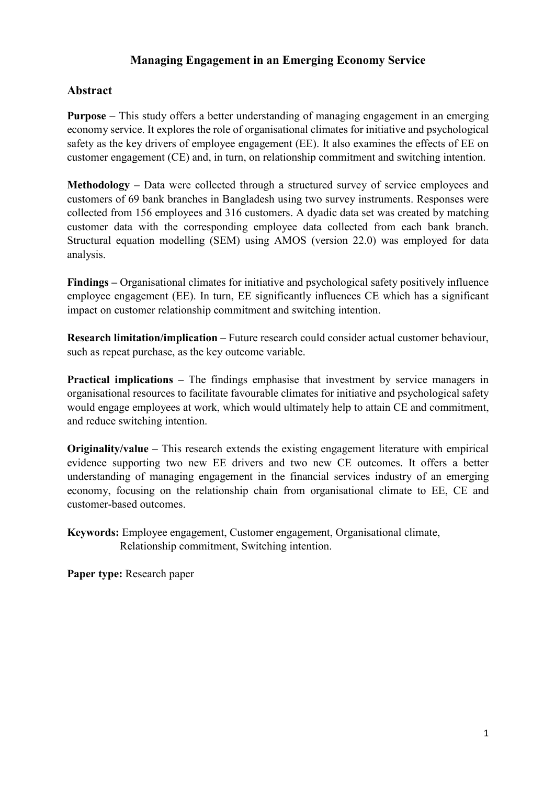## **Managing Engagement in an Emerging Economy Service**

## **Abstract**

**Purpose –** This study offers a better understanding of managing engagement in an emerging economy service. It explores the role of organisational climates for initiative and psychological safety as the key drivers of employee engagement (EE). It also examines the effects of EE on customer engagement (CE) and, in turn, on relationship commitment and switching intention.

**Methodology –** Data were collected through a structured survey of service employees and customers of 69 bank branches in Bangladesh using two survey instruments. Responses were collected from 156 employees and 316 customers. A dyadic data set was created by matching customer data with the corresponding employee data collected from each bank branch. Structural equation modelling (SEM) using AMOS (version 22.0) was employed for data analysis.

**Findings –** Organisational climates for initiative and psychological safety positively influence employee engagement (EE). In turn, EE significantly influences CE which has a significant impact on customer relationship commitment and switching intention.

**Research limitation/implication –** Future research could consider actual customer behaviour, such as repeat purchase, as the key outcome variable.

**Practical implications –** The findings emphasise that investment by service managers in organisational resources to facilitate favourable climates for initiative and psychological safety would engage employees at work, which would ultimately help to attain CE and commitment, and reduce switching intention.

**Originality/value –** This research extends the existing engagement literature with empirical evidence supporting two new EE drivers and two new CE outcomes. It offers a better understanding of managing engagement in the financial services industry of an emerging economy, focusing on the relationship chain from organisational climate to EE, CE and customer-based outcomes.

**Keywords:** Employee engagement, Customer engagement, Organisational climate, Relationship commitment, Switching intention.

**Paper type:** Research paper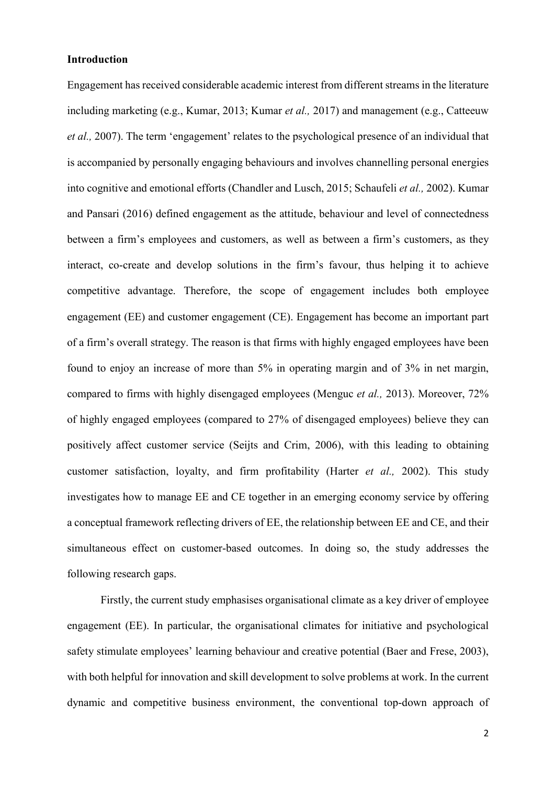#### **Introduction**

Engagement has received considerable academic interest from different streams in the literature including marketing (e.g., Kumar, 2013; Kumar *et al.,* 2017) and management (e.g., Catteeuw *et al.,* 2007). The term 'engagement' relates to the psychological presence of an individual that is accompanied by personally engaging behaviours and involves channelling personal energies into cognitive and emotional efforts (Chandler and Lusch, 2015; Schaufeli *et al.,* 2002). Kumar and Pansari (2016) defined engagement as the attitude, behaviour and level of connectedness between a firm's employees and customers, as well as between a firm's customers, as they interact, co-create and develop solutions in the firm's favour, thus helping it to achieve competitive advantage. Therefore, the scope of engagement includes both employee engagement (EE) and customer engagement (CE). Engagement has become an important part of a firm's overall strategy. The reason is that firms with highly engaged employees have been found to enjoy an increase of more than 5% in operating margin and of 3% in net margin, compared to firms with highly disengaged employees (Menguc *et al.,* 2013). Moreover, 72% of highly engaged employees (compared to 27% of disengaged employees) believe they can positively affect customer service (Seijts and Crim, 2006), with this leading to obtaining customer satisfaction, loyalty, and firm profitability (Harter *et al.,* 2002). This study investigates how to manage EE and CE together in an emerging economy service by offering a conceptual framework reflecting drivers of EE, the relationship between EE and CE, and their simultaneous effect on customer-based outcomes. In doing so, the study addresses the following research gaps.

Firstly, the current study emphasises organisational climate as a key driver of employee engagement (EE). In particular, the organisational climates for initiative and psychological safety stimulate employees' learning behaviour and creative potential (Baer and Frese, 2003), with both helpful for innovation and skill development to solve problems at work. In the current dynamic and competitive business environment, the conventional top-down approach of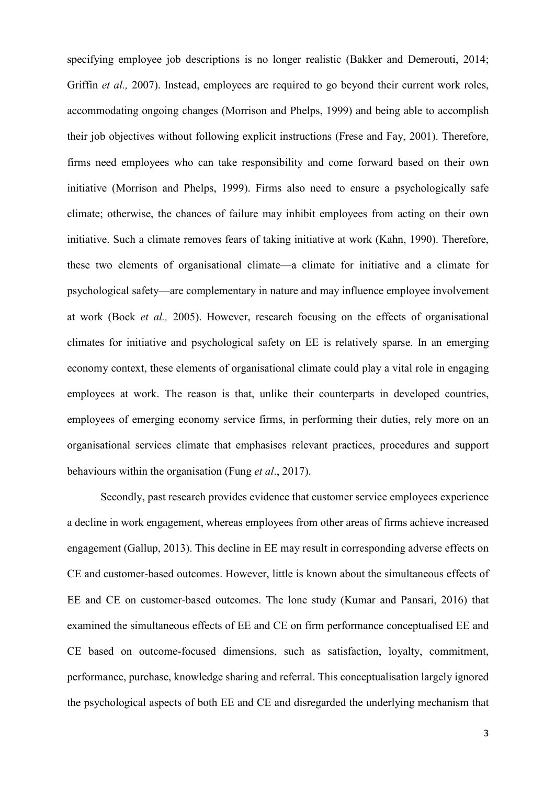specifying employee job descriptions is no longer realistic (Bakker and Demerouti, 2014; Griffin *et al.*, 2007). Instead, employees are required to go beyond their current work roles, accommodating ongoing changes (Morrison and Phelps, 1999) and being able to accomplish their job objectives without following explicit instructions (Frese and Fay, 2001). Therefore, firms need employees who can take responsibility and come forward based on their own initiative (Morrison and Phelps, 1999). Firms also need to ensure a psychologically safe climate; otherwise, the chances of failure may inhibit employees from acting on their own initiative. Such a climate removes fears of taking initiative at work (Kahn, 1990). Therefore, these two elements of organisational climate—a climate for initiative and a climate for psychological safety—are complementary in nature and may influence employee involvement at work (Bock *et al.,* 2005). However, research focusing on the effects of organisational climates for initiative and psychological safety on EE is relatively sparse. In an emerging economy context, these elements of organisational climate could play a vital role in engaging employees at work. The reason is that, unlike their counterparts in developed countries, employees of emerging economy service firms, in performing their duties, rely more on an organisational services climate that emphasises relevant practices, procedures and support behaviours within the organisation (Fung *et al*., 2017).

Secondly, past research provides evidence that customer service employees experience a decline in work engagement, whereas employees from other areas of firms achieve increased engagement (Gallup, 2013). This decline in EE may result in corresponding adverse effects on CE and customer-based outcomes. However, little is known about the simultaneous effects of EE and CE on customer-based outcomes. The lone study (Kumar and Pansari, 2016) that examined the simultaneous effects of EE and CE on firm performance conceptualised EE and CE based on outcome-focused dimensions, such as satisfaction, loyalty, commitment, performance, purchase, knowledge sharing and referral. This conceptualisation largely ignored the psychological aspects of both EE and CE and disregarded the underlying mechanism that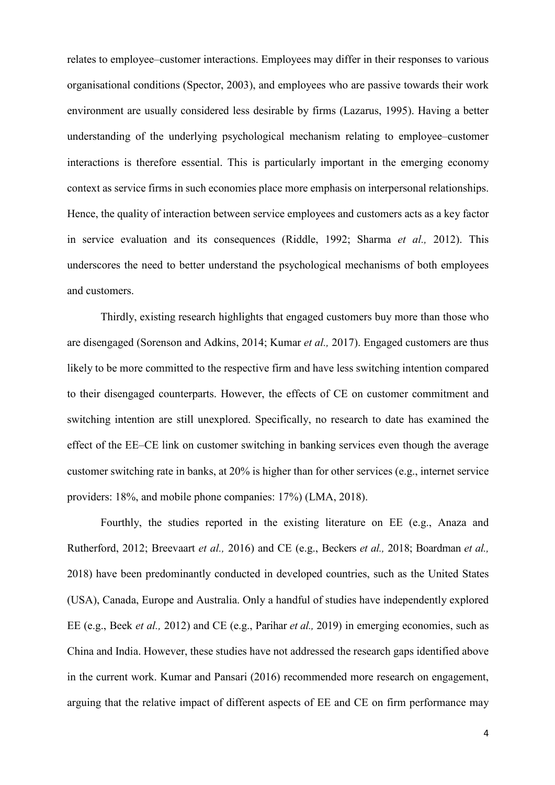relates to employee–customer interactions. Employees may differ in their responses to various organisational conditions (Spector, 2003), and employees who are passive towards their work environment are usually considered less desirable by firms (Lazarus, 1995). Having a better understanding of the underlying psychological mechanism relating to employee–customer interactions is therefore essential. This is particularly important in the emerging economy context as service firms in such economies place more emphasis on interpersonal relationships. Hence, the quality of interaction between service employees and customers acts as a key factor in service evaluation and its consequences (Riddle, 1992; Sharma *et al.,* 2012). This underscores the need to better understand the psychological mechanisms of both employees and customers.

Thirdly, existing research highlights that engaged customers buy more than those who are disengaged (Sorenson and Adkins, 2014; Kumar *et al.,* 2017). Engaged customers are thus likely to be more committed to the respective firm and have less switching intention compared to their disengaged counterparts. However, the effects of CE on customer commitment and switching intention are still unexplored. Specifically, no research to date has examined the effect of the EE–CE link on customer switching in banking services even though the average customer switching rate in banks, at 20% is higher than for other services (e.g., internet service providers: 18%, and mobile phone companies: 17%) (LMA, 2018).

Fourthly, the studies reported in the existing literature on EE (e.g., Anaza and Rutherford, 2012; Breevaart *et al.,* 2016) and CE (e.g., Beckers *et al.,* 2018; Boardman *et al.,*  2018) have been predominantly conducted in developed countries, such as the United States (USA), Canada, Europe and Australia. Only a handful of studies have independently explored EE (e.g., Beek *et al.,* 2012) and CE (e.g., Parihar *et al.,* 2019) in emerging economies, such as China and India. However, these studies have not addressed the research gaps identified above in the current work. Kumar and Pansari (2016) recommended more research on engagement, arguing that the relative impact of different aspects of EE and CE on firm performance may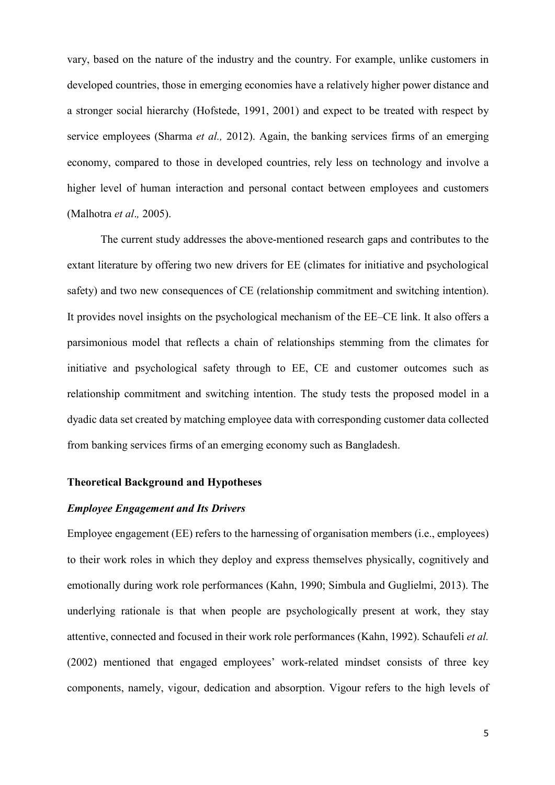vary, based on the nature of the industry and the country. For example, unlike customers in developed countries, those in emerging economies have a relatively higher power distance and a stronger social hierarchy (Hofstede, 1991, 2001) and expect to be treated with respect by service employees (Sharma *et al.,* 2012). Again, the banking services firms of an emerging economy, compared to those in developed countries, rely less on technology and involve a higher level of human interaction and personal contact between employees and customers (Malhotra *et al*.*,* 2005).

The current study addresses the above-mentioned research gaps and contributes to the extant literature by offering two new drivers for EE (climates for initiative and psychological safety) and two new consequences of CE (relationship commitment and switching intention). It provides novel insights on the psychological mechanism of the EE–CE link. It also offers a parsimonious model that reflects a chain of relationships stemming from the climates for initiative and psychological safety through to EE, CE and customer outcomes such as relationship commitment and switching intention. The study tests the proposed model in a dyadic data set created by matching employee data with corresponding customer data collected from banking services firms of an emerging economy such as Bangladesh.

#### **Theoretical Background and Hypotheses**

#### *Employee Engagement and Its Drivers*

Employee engagement (EE) refers to the harnessing of organisation members (i.e., employees) to their work roles in which they deploy and express themselves physically, cognitively and emotionally during work role performances (Kahn, 1990; Simbula and Guglielmi, 2013). The underlying rationale is that when people are psychologically present at work, they stay attentive, connected and focused in their work role performances (Kahn, 1992). Schaufeli *et al.* (2002) mentioned that engaged employees' work-related mindset consists of three key components, namely, vigour, dedication and absorption. Vigour refers to the high levels of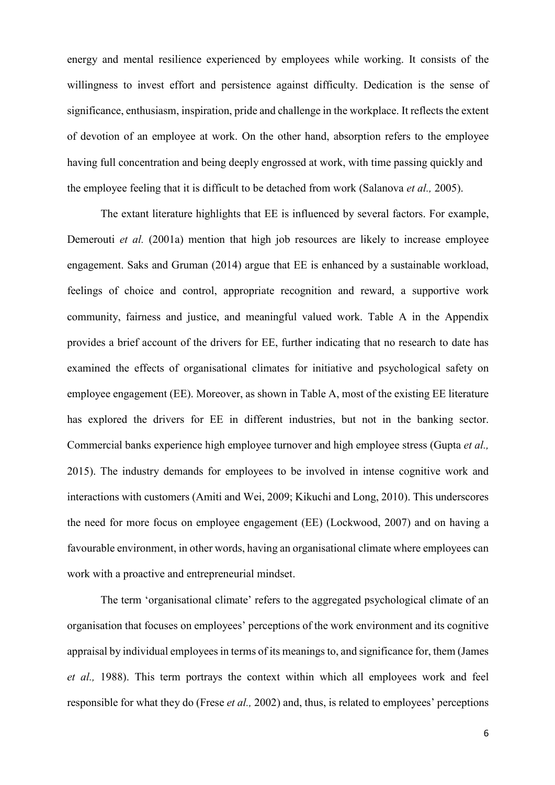energy and mental resilience experienced by employees while working. It consists of the willingness to invest effort and persistence against difficulty. Dedication is the sense of significance, enthusiasm, inspiration, pride and challenge in the workplace. It reflects the extent of devotion of an employee at work. On the other hand, absorption refers to the employee having full concentration and being deeply engrossed at work, with time passing quickly and the employee feeling that it is difficult to be detached from work (Salanova *et al.,* 2005).

The extant literature highlights that EE is influenced by several factors. For example, Demerouti *et al.* (2001a) mention that high job resources are likely to increase employee engagement. Saks and Gruman (2014) argue that EE is enhanced by a sustainable workload, feelings of choice and control, appropriate recognition and reward, a supportive work community, fairness and justice, and meaningful valued work. Table A in the Appendix provides a brief account of the drivers for EE, further indicating that no research to date has examined the effects of organisational climates for initiative and psychological safety on employee engagement (EE). Moreover, as shown in Table A, most of the existing EE literature has explored the drivers for EE in different industries, but not in the banking sector. Commercial banks experience high employee turnover and high employee stress (Gupta *et al.,* 2015). The industry demands for employees to be involved in intense cognitive work and interactions with customers (Amiti and Wei, 2009; Kikuchi and Long, 2010). This underscores the need for more focus on employee engagement (EE) (Lockwood, 2007) and on having a favourable environment, in other words, having an organisational climate where employees can work with a proactive and entrepreneurial mindset.

The term 'organisational climate' refers to the aggregated psychological climate of an organisation that focuses on employees' perceptions of the work environment and its cognitive appraisal by individual employees in terms of its meanings to, and significance for, them (James *et al.,* 1988). This term portrays the context within which all employees work and feel responsible for what they do (Frese *et al.,* 2002) and, thus, is related to employees' perceptions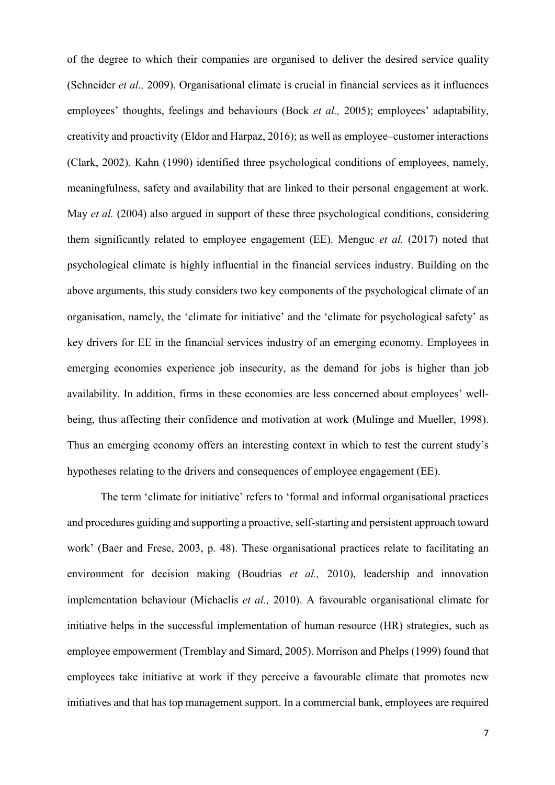of the degree to which their companies are organised to deliver the desired service quality (Schneider *et al.,* 2009). Organisational climate is crucial in financial services as it influences employees' thoughts, feelings and behaviours (Bock *et al.,* 2005); employees' adaptability, creativity and proactivity (Eldor and Harpaz, 2016); as well as employee–customer interactions (Clark, 2002). Kahn (1990) identified three psychological conditions of employees, namely, meaningfulness, safety and availability that are linked to their personal engagement at work. May *et al.* (2004) also argued in support of these three psychological conditions, considering them significantly related to employee engagement (EE). Menguc *et al.* (2017) noted that psychological climate is highly influential in the financial services industry. Building on the above arguments, this study considers two key components of the psychological climate of an organisation, namely, the 'climate for initiative' and the 'climate for psychological safety' as key drivers for EE in the financial services industry of an emerging economy. Employees in emerging economies experience job insecurity, as the demand for jobs is higher than job availability. In addition, firms in these economies are less concerned about employees' wellbeing, thus affecting their confidence and motivation at work (Mulinge and Mueller, 1998). Thus an emerging economy offers an interesting context in which to test the current study's hypotheses relating to the drivers and consequences of employee engagement (EE).

The term 'climate for initiative' refers to 'formal and informal organisational practices and procedures guiding and supporting a proactive, self-starting and persistent approach toward work' (Baer and Frese, 2003, p. 48). These organisational practices relate to facilitating an environment for decision making (Boudrias *et al.,* 2010), leadership and innovation implementation behaviour (Michaelis *et al.,* 2010). A favourable organisational climate for initiative helps in the successful implementation of human resource (HR) strategies, such as employee empowerment (Tremblay and Simard, 2005). Morrison and Phelps (1999) found that employees take initiative at work if they perceive a favourable climate that promotes new initiatives and that has top management support. In a commercial bank, employees are required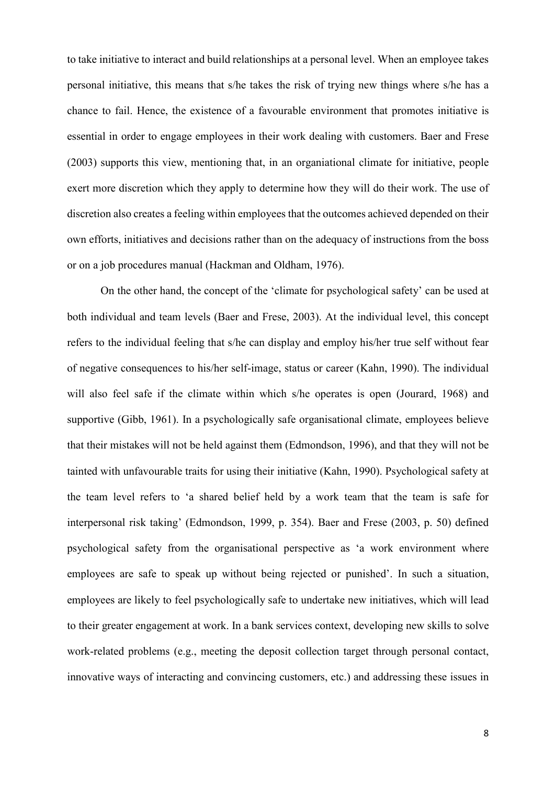to take initiative to interact and build relationships at a personal level. When an employee takes personal initiative, this means that s/he takes the risk of trying new things where s/he has a chance to fail. Hence, the existence of a favourable environment that promotes initiative is essential in order to engage employees in their work dealing with customers. Baer and Frese (2003) supports this view, mentioning that, in an organiational climate for initiative, people exert more discretion which they apply to determine how they will do their work. The use of discretion also creates a feeling within employees that the outcomes achieved depended on their own efforts, initiatives and decisions rather than on the adequacy of instructions from the boss or on a job procedures manual (Hackman and Oldham, 1976).

On the other hand, the concept of the 'climate for psychological safety' can be used at both individual and team levels (Baer and Frese, 2003). At the individual level, this concept refers to the individual feeling that s/he can display and employ his/her true self without fear of negative consequences to his/her self-image, status or career (Kahn, 1990). The individual will also feel safe if the climate within which s/he operates is open (Jourard, 1968) and supportive (Gibb, 1961). In a psychologically safe organisational climate, employees believe that their mistakes will not be held against them (Edmondson, 1996), and that they will not be tainted with unfavourable traits for using their initiative (Kahn, 1990). Psychological safety at the team level refers to 'a shared belief held by a work team that the team is safe for interpersonal risk taking' (Edmondson, 1999, p. 354). Baer and Frese (2003, p. 50) defined psychological safety from the organisational perspective as 'a work environment where employees are safe to speak up without being rejected or punished'. In such a situation, employees are likely to feel psychologically safe to undertake new initiatives, which will lead to their greater engagement at work. In a bank services context, developing new skills to solve work-related problems (e.g., meeting the deposit collection target through personal contact, innovative ways of interacting and convincing customers, etc.) and addressing these issues in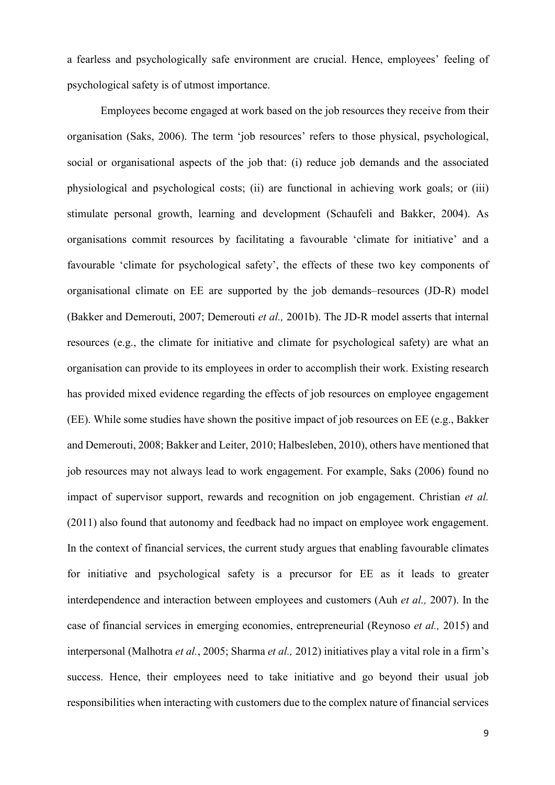a fearless and psychologically safe environment are crucial. Hence, employees' feeling of psychological safety is of utmost importance.

Employees become engaged at work based on the job resources they receive from their organisation (Saks, 2006). The term 'job resources' refers to those physical, psychological, social or organisational aspects of the job that: (i) reduce job demands and the associated physiological and psychological costs; (ii) are functional in achieving work goals; or (iii) stimulate personal growth, learning and development (Schaufeli and Bakker, 2004). As organisations commit resources by facilitating a favourable 'climate for initiative' and a favourable 'climate for psychological safety', the effects of these two key components of organisational climate on EE are supported by the job demands–resources (JD-R) model (Bakker and Demerouti, 2007; Demerouti *et al.,* 2001b). The JD-R model asserts that internal resources (e.g., the climate for initiative and climate for psychological safety) are what an organisation can provide to its employees in order to accomplish their work. Existing research has provided mixed evidence regarding the effects of job resources on employee engagement (EE). While some studies have shown the positive impact of job resources on EE (e.g., Bakker and Demerouti, 2008; Bakker and Leiter, 2010; Halbesleben, 2010), others have mentioned that job resources may not always lead to work engagement. For example, Saks (2006) found no impact of supervisor support, rewards and recognition on job engagement. Christian *et al.* (2011) also found that autonomy and feedback had no impact on employee work engagement. In the context of financial services, the current study argues that enabling favourable climates for initiative and psychological safety is a precursor for EE as it leads to greater interdependence and interaction between employees and customers (Auh *et al.,* 2007). In the case of financial services in emerging economies, entrepreneurial (Reynoso *et al.,* 2015) and interpersonal (Malhotra *et al.*, 2005; Sharma *et al.,* 2012) initiatives play a vital role in a firm's success. Hence, their employees need to take initiative and go beyond their usual job responsibilities when interacting with customers due to the complex nature of financial services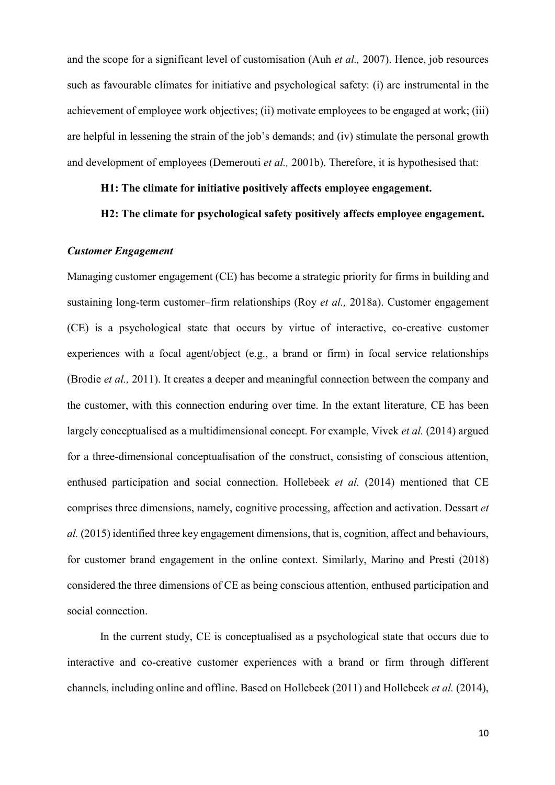and the scope for a significant level of customisation (Auh *et al.,* 2007). Hence, job resources such as favourable climates for initiative and psychological safety: (i) are instrumental in the achievement of employee work objectives; (ii) motivate employees to be engaged at work; (iii) are helpful in lessening the strain of the job's demands; and (iv) stimulate the personal growth and development of employees (Demerouti *et al.,* 2001b). Therefore, it is hypothesised that:

### **H1: The climate for initiative positively affects employee engagement.**

### **H2: The climate for psychological safety positively affects employee engagement.**

#### *Customer Engagement*

Managing customer engagement (CE) has become a strategic priority for firms in building and sustaining long-term customer–firm relationships (Roy *et al.,* 2018a). Customer engagement (CE) is a psychological state that occurs by virtue of interactive, co-creative customer experiences with a focal agent/object (e.g., a brand or firm) in focal service relationships (Brodie *et al.,* 2011). It creates a deeper and meaningful connection between the company and the customer, with this connection enduring over time. In the extant literature, CE has been largely conceptualised as a multidimensional concept. For example, Vivek *et al.* (2014) argued for a three-dimensional conceptualisation of the construct, consisting of conscious attention, enthused participation and social connection. Hollebeek *et al.* (2014) mentioned that CE comprises three dimensions, namely, cognitive processing, affection and activation. Dessart *et al.* (2015) identified three key engagement dimensions, that is, cognition, affect and behaviours, for customer brand engagement in the online context. Similarly, Marino and Presti (2018) considered the three dimensions of CE as being conscious attention, enthused participation and social connection.

In the current study, CE is conceptualised as a psychological state that occurs due to interactive and co-creative customer experiences with a brand or firm through different channels, including online and offline. Based on Hollebeek (2011) and Hollebeek *et al.* (2014),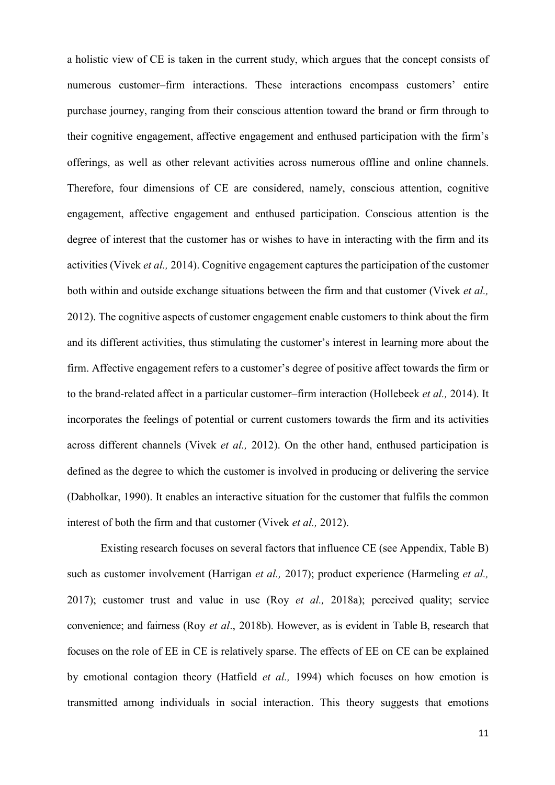a holistic view of CE is taken in the current study, which argues that the concept consists of numerous customer–firm interactions. These interactions encompass customers' entire purchase journey, ranging from their conscious attention toward the brand or firm through to their cognitive engagement, affective engagement and enthused participation with the firm's offerings, as well as other relevant activities across numerous offline and online channels. Therefore, four dimensions of CE are considered, namely, conscious attention, cognitive engagement, affective engagement and enthused participation. Conscious attention is the degree of interest that the customer has or wishes to have in interacting with the firm and its activities (Vivek *et al.,* 2014). Cognitive engagement captures the participation of the customer both within and outside exchange situations between the firm and that customer (Vivek *et al.,* 2012). The cognitive aspects of customer engagement enable customers to think about the firm and its different activities, thus stimulating the customer's interest in learning more about the firm. Affective engagement refers to a customer's degree of positive affect towards the firm or to the brand-related affect in a particular customer–firm interaction (Hollebeek *et al.,* 2014). It incorporates the feelings of potential or current customers towards the firm and its activities across different channels (Vivek *et al.,* 2012). On the other hand, enthused participation is defined as the degree to which the customer is involved in producing or delivering the service (Dabholkar, 1990). It enables an interactive situation for the customer that fulfils the common interest of both the firm and that customer (Vivek *et al.,* 2012).

Existing research focuses on several factors that influence CE (see Appendix, Table B) such as customer involvement (Harrigan *et al.,* 2017); product experience (Harmeling *et al.,* 2017); customer trust and value in use (Roy *et al.,* 2018a); perceived quality; service convenience; and fairness (Roy *et al*., 2018b). However, as is evident in Table B, research that focuses on the role of EE in CE is relatively sparse. The effects of EE on CE can be explained by emotional contagion theory (Hatfield *et al.,* 1994) which focuses on how emotion is transmitted among individuals in social interaction. This theory suggests that emotions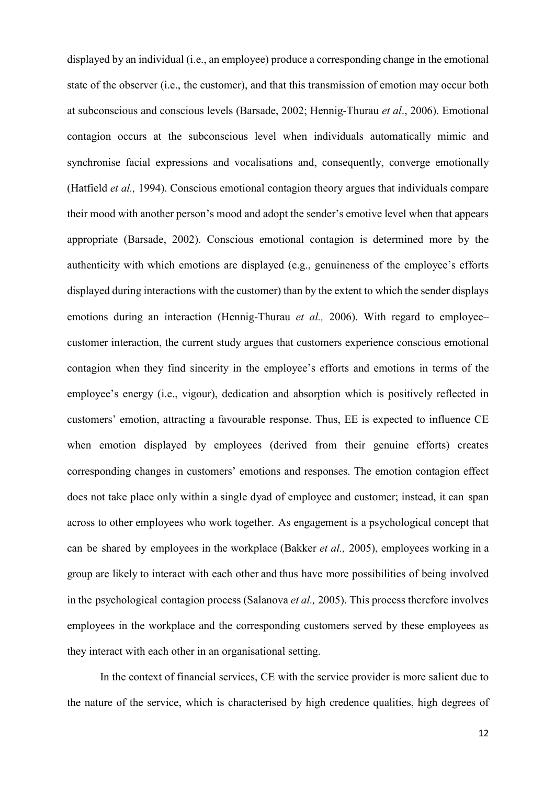displayed by an individual (i.e., an employee) produce a corresponding change in the emotional state of the observer (i.e., the customer), and that this transmission of emotion may occur both at subconscious and conscious levels (Barsade, 2002; Hennig-Thurau *et al*., 2006). Emotional contagion occurs at the subconscious level when individuals automatically mimic and synchronise facial expressions and vocalisations and, consequently, converge emotionally (Hatfield *et al.,* 1994). Conscious emotional contagion theory argues that individuals compare their mood with another person's mood and adopt the sender's emotive level when that appears appropriate (Barsade, 2002). Conscious emotional contagion is determined more by the authenticity with which emotions are displayed (e.g., genuineness of the employee's efforts displayed during interactions with the customer) than by the extent to which the sender displays emotions during an interaction (Hennig-Thurau *et al.*, 2006). With regard to employee– customer interaction, the current study argues that customers experience conscious emotional contagion when they find sincerity in the employee's efforts and emotions in terms of the employee's energy (i.e., vigour), dedication and absorption which is positively reflected in customers' emotion, attracting a favourable response. Thus, EE is expected to influence CE when emotion displayed by employees (derived from their genuine efforts) creates corresponding changes in customers' emotions and responses. The emotion contagion effect does not take place only within a single dyad of employee and customer; instead, it can span across to other employees who work together. As engagement is a psychological concept that can be shared by employees in the workplace (Bakker *et al.,* 2005), employees working in a group are likely to interact with each other and thus have more possibilities of being involved in the psychological contagion process (Salanova *et al.,* 2005). This process therefore involves employees in the workplace and the corresponding customers served by these employees as they interact with each other in an organisational setting.

In the context of financial services, CE with the service provider is more salient due to the nature of the service, which is characterised by high credence qualities, high degrees of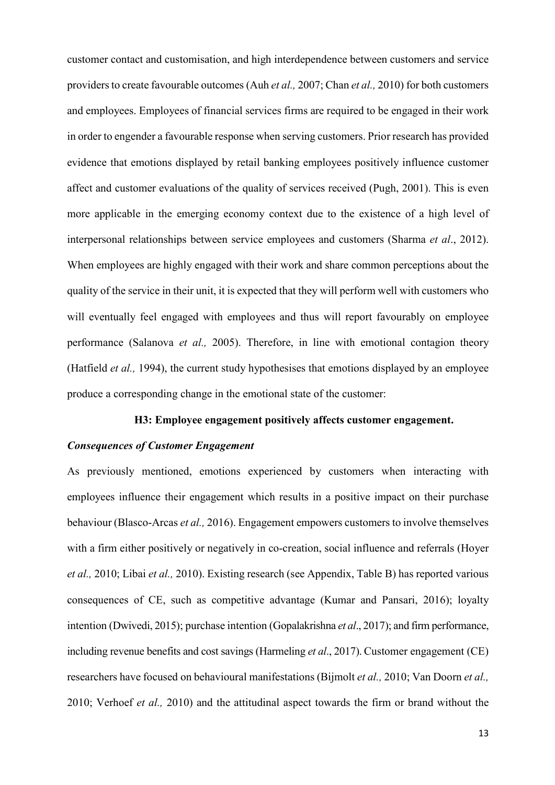customer contact and customisation, and high interdependence between customers and service providers to create favourable outcomes (Auh *et al.,* 2007; Chan *et al.,* 2010) for both customers and employees. Employees of financial services firms are required to be engaged in their work in order to engender a favourable response when serving customers. Prior research has provided evidence that emotions displayed by retail banking employees positively influence customer affect and customer evaluations of the quality of services received (Pugh, 2001). This is even more applicable in the emerging economy context due to the existence of a high level of interpersonal relationships between service employees and customers (Sharma *et al*., 2012). When employees are highly engaged with their work and share common perceptions about the quality of the service in their unit, it is expected that they will perform well with customers who will eventually feel engaged with employees and thus will report favourably on employee performance (Salanova *et al.,* 2005). Therefore, in line with emotional contagion theory (Hatfield *et al.,* 1994), the current study hypothesises that emotions displayed by an employee produce a corresponding change in the emotional state of the customer:

#### **H3: Employee engagement positively affects customer engagement.**

#### *Consequences of Customer Engagement*

As previously mentioned, emotions experienced by customers when interacting with employees influence their engagement which results in a positive impact on their purchase behaviour (Blasco-Arcas *et al.,* 2016). Engagement empowers customers to involve themselves with a firm either positively or negatively in co-creation, social influence and referrals (Hoyer *et al.,* 2010; Libai *et al.,* 2010). Existing research (see Appendix, Table B) has reported various consequences of CE, such as competitive advantage (Kumar and Pansari, 2016); loyalty intention (Dwivedi, 2015); purchase intention (Gopalakrishna *et al*., 2017); and firm performance, including revenue benefits and cost savings (Harmeling *et al*., 2017). Customer engagement (CE) researchers have focused on behavioural manifestations (Bijmolt *et al.,* 2010; Van Doorn *et al.,* 2010; Verhoef *et al.,* 2010) and the attitudinal aspect towards the firm or brand without the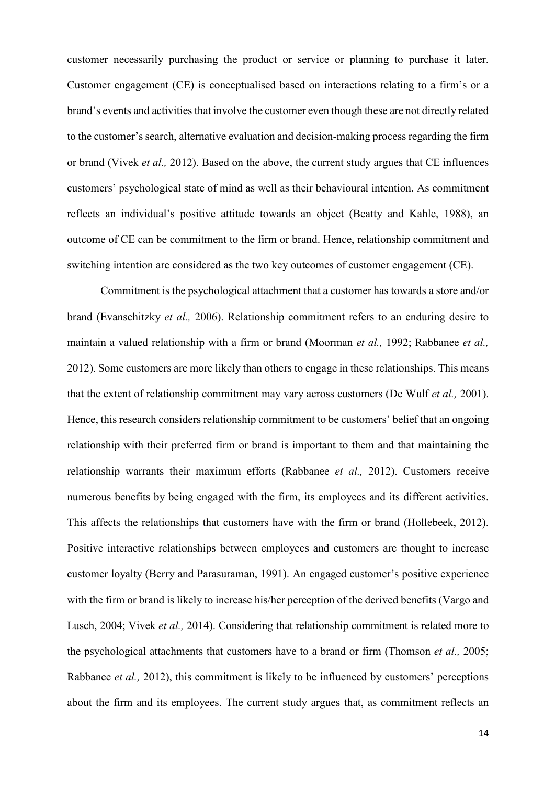customer necessarily purchasing the product or service or planning to purchase it later. Customer engagement (CE) is conceptualised based on interactions relating to a firm's or a brand's events and activities that involve the customer even though these are not directly related to the customer's search, alternative evaluation and decision-making process regarding the firm or brand (Vivek *et al.,* 2012). Based on the above, the current study argues that CE influences customers' psychological state of mind as well as their behavioural intention. As commitment reflects an individual's positive attitude towards an object (Beatty and Kahle, 1988), an outcome of CE can be commitment to the firm or brand. Hence, relationship commitment and switching intention are considered as the two key outcomes of customer engagement (CE).

Commitment is the psychological attachment that a customer has towards a store and/or brand (Evanschitzky *et al.,* 2006). Relationship commitment refers to an enduring desire to maintain a valued relationship with a firm or brand (Moorman *et al.,* 1992; Rabbanee *et al.,* 2012). Some customers are more likely than others to engage in these relationships. This means that the extent of relationship commitment may vary across customers (De Wulf *et al.,* 2001). Hence, this research considers relationship commitment to be customers' belief that an ongoing relationship with their preferred firm or brand is important to them and that maintaining the relationship warrants their maximum efforts (Rabbanee *et al.,* 2012). Customers receive numerous benefits by being engaged with the firm, its employees and its different activities. This affects the relationships that customers have with the firm or brand (Hollebeek, 2012). Positive interactive relationships between employees and customers are thought to increase customer loyalty (Berry and Parasuraman, 1991). An engaged customer's positive experience with the firm or brand is likely to increase his/her perception of the derived benefits (Vargo and Lusch, 2004; Vivek *et al.,* 2014). Considering that relationship commitment is related more to the psychological attachments that customers have to a brand or firm (Thomson *et al.,* 2005; Rabbanee *et al.,* 2012), this commitment is likely to be influenced by customers' perceptions about the firm and its employees. The current study argues that, as commitment reflects an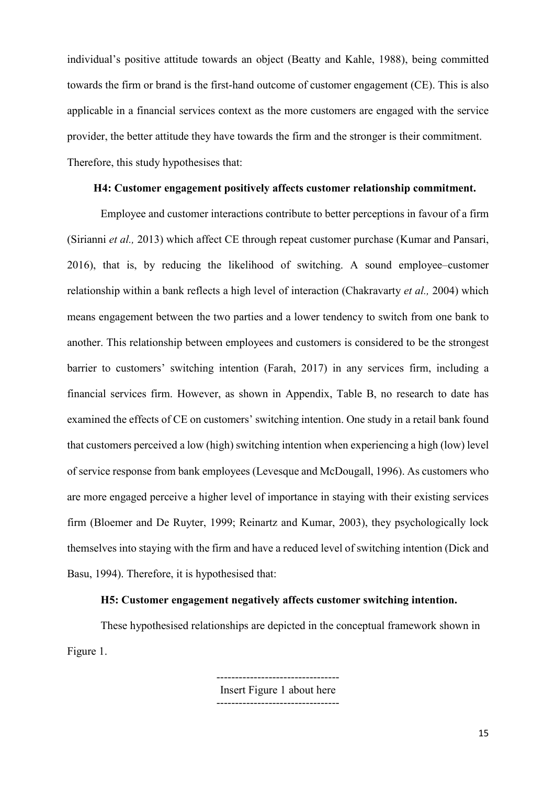individual's positive attitude towards an object (Beatty and Kahle, 1988), being committed towards the firm or brand is the first-hand outcome of customer engagement (CE). This is also applicable in a financial services context as the more customers are engaged with the service provider, the better attitude they have towards the firm and the stronger is their commitment. Therefore, this study hypothesises that:

### **H4: Customer engagement positively affects customer relationship commitment.**

Employee and customer interactions contribute to better perceptions in favour of a firm (Sirianni *et al.,* 2013) which affect CE through repeat customer purchase (Kumar and Pansari, 2016), that is, by reducing the likelihood of switching. A sound employee–customer relationship within a bank reflects a high level of interaction (Chakravarty *et al.,* 2004) which means engagement between the two parties and a lower tendency to switch from one bank to another. This relationship between employees and customers is considered to be the strongest barrier to customers' switching intention (Farah, 2017) in any services firm, including a financial services firm. However, as shown in Appendix, Table B, no research to date has examined the effects of CE on customers' switching intention. One study in a retail bank found that customers perceived a low (high) switching intention when experiencing a high (low) level of service response from bank employees (Levesque and McDougall, 1996). As customers who are more engaged perceive a higher level of importance in staying with their existing services firm (Bloemer and De Ruyter, 1999; Reinartz and Kumar, 2003), they psychologically lock themselves into staying with the firm and have a reduced level of switching intention (Dick and Basu, 1994). Therefore, it is hypothesised that:

## **H5: Customer engagement negatively affects customer switching intention.**

These hypothesised relationships are depicted in the conceptual framework shown in Figure 1.

> Insert Figure 1 about here  $-$

---------------------------------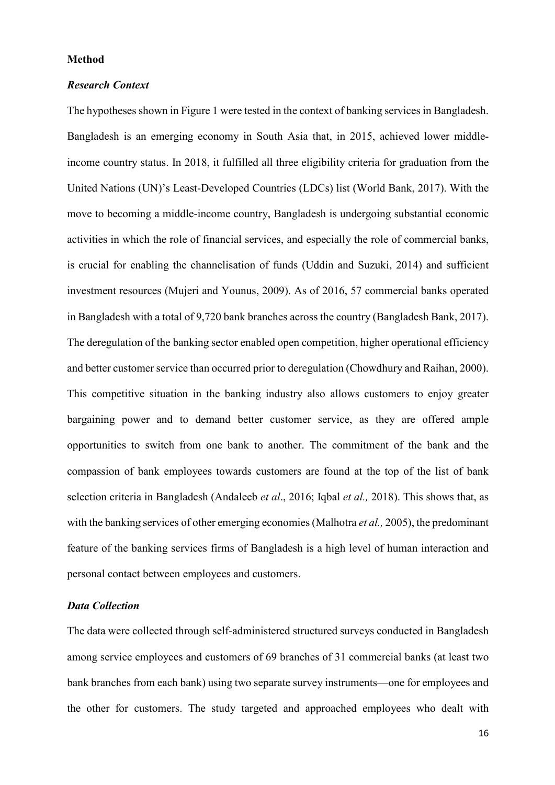#### **Method**

#### *Research Context*

The hypotheses shown in Figure 1 were tested in the context of banking services in Bangladesh. Bangladesh is an emerging economy in South Asia that, in 2015, achieved lower middleincome country status. In 2018, it fulfilled all three eligibility criteria for graduation from the United Nations (UN)'s Least-Developed Countries (LDCs) list (World Bank, 2017). With the move to becoming a middle-income country, Bangladesh is undergoing substantial economic activities in which the role of financial services, and especially the role of commercial banks, is crucial for enabling the channelisation of funds (Uddin and Suzuki, 2014) and sufficient investment resources (Mujeri and Younus, 2009). As of 2016, 57 commercial banks operated in Bangladesh with a total of 9,720 bank branches across the country (Bangladesh Bank, 2017). The deregulation of the banking sector enabled open competition, higher operational efficiency and better customer service than occurred prior to deregulation (Chowdhury and Raihan, 2000). This competitive situation in the banking industry also allows customers to enjoy greater bargaining power and to demand better customer service, as they are offered ample opportunities to switch from one bank to another. The commitment of the bank and the compassion of bank employees towards customers are found at the top of the list of bank selection criteria in Bangladesh (Andaleeb *et al*., 2016; Iqbal *et al.,* 2018). This shows that, as with the banking services of other emerging economies(Malhotra *et al.,* 2005), the predominant feature of the banking services firms of Bangladesh is a high level of human interaction and personal contact between employees and customers.

#### *Data Collection*

The data were collected through self-administered structured surveys conducted in Bangladesh among service employees and customers of 69 branches of 31 commercial banks (at least two bank branches from each bank) using two separate survey instruments—one for employees and the other for customers. The study targeted and approached employees who dealt with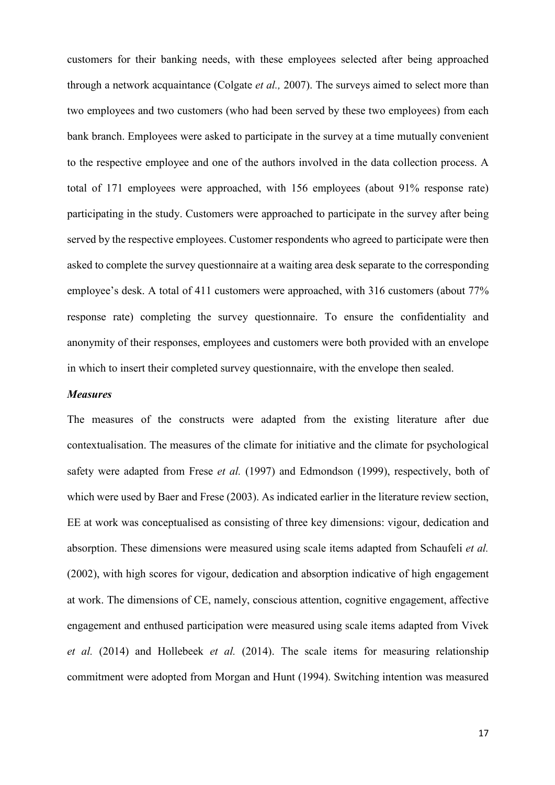customers for their banking needs, with these employees selected after being approached through a network acquaintance (Colgate *et al.,* 2007). The surveys aimed to select more than two employees and two customers (who had been served by these two employees) from each bank branch. Employees were asked to participate in the survey at a time mutually convenient to the respective employee and one of the authors involved in the data collection process. A total of 171 employees were approached, with 156 employees (about 91% response rate) participating in the study. Customers were approached to participate in the survey after being served by the respective employees. Customer respondents who agreed to participate were then asked to complete the survey questionnaire at a waiting area desk separate to the corresponding employee's desk. A total of 411 customers were approached, with 316 customers (about 77%) response rate) completing the survey questionnaire. To ensure the confidentiality and anonymity of their responses, employees and customers were both provided with an envelope in which to insert their completed survey questionnaire, with the envelope then sealed.

#### *Measures*

The measures of the constructs were adapted from the existing literature after due contextualisation. The measures of the climate for initiative and the climate for psychological safety were adapted from Frese *et al.* (1997) and Edmondson (1999), respectively, both of which were used by Baer and Frese (2003). As indicated earlier in the literature review section, EE at work was conceptualised as consisting of three key dimensions: vigour, dedication and absorption. These dimensions were measured using scale items adapted from Schaufeli *et al.* (2002), with high scores for vigour, dedication and absorption indicative of high engagement at work. The dimensions of CE, namely, conscious attention, cognitive engagement, affective engagement and enthused participation were measured using scale items adapted from Vivek *et al.* (2014) and Hollebeek *et al.* (2014). The scale items for measuring relationship commitment were adopted from Morgan and Hunt (1994). Switching intention was measured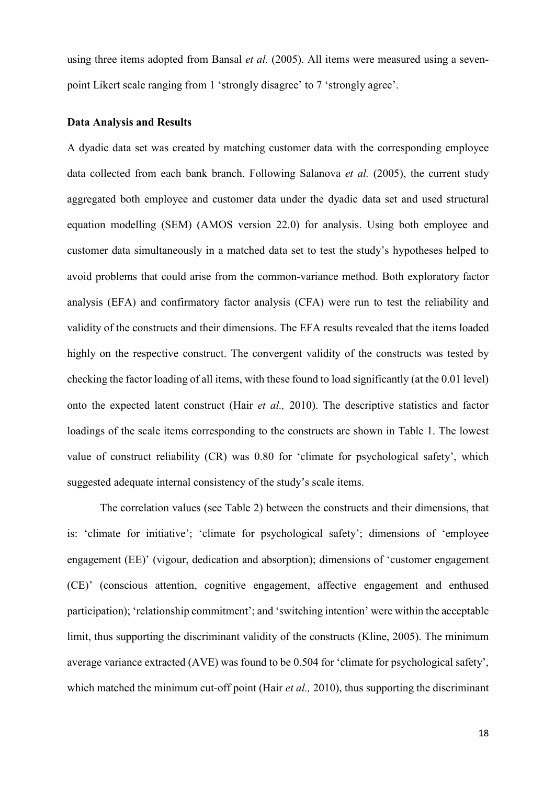using three items adopted from Bansal *et al.* (2005). All items were measured using a sevenpoint Likert scale ranging from 1 'strongly disagree' to 7 'strongly agree'.

#### **Data Analysis and Results**

A dyadic data set was created by matching customer data with the corresponding employee data collected from each bank branch. Following Salanova *et al.* (2005), the current study aggregated both employee and customer data under the dyadic data set and used structural equation modelling (SEM) (AMOS version 22.0) for analysis. Using both employee and customer data simultaneously in a matched data set to test the study's hypotheses helped to avoid problems that could arise from the common-variance method. Both exploratory factor analysis (EFA) and confirmatory factor analysis (CFA) were run to test the reliability and validity of the constructs and their dimensions. The EFA results revealed that the items loaded highly on the respective construct. The convergent validity of the constructs was tested by checking the factor loading of all items, with these found to load significantly (at the 0.01 level) onto the expected latent construct (Hair *et al.,* 2010). The descriptive statistics and factor loadings of the scale items corresponding to the constructs are shown in Table 1. The lowest value of construct reliability (CR) was 0.80 for 'climate for psychological safety', which suggested adequate internal consistency of the study's scale items.

The correlation values (see Table 2) between the constructs and their dimensions, that is: 'climate for initiative'; 'climate for psychological safety'; dimensions of 'employee engagement (EE)' (vigour, dedication and absorption); dimensions of 'customer engagement (CE)' (conscious attention, cognitive engagement, affective engagement and enthused participation); 'relationship commitment'; and 'switching intention' were within the acceptable limit, thus supporting the discriminant validity of the constructs (Kline, 2005). The minimum average variance extracted (AVE) was found to be 0.504 for 'climate for psychological safety', which matched the minimum cut-off point (Hair *et al.*, 2010), thus supporting the discriminant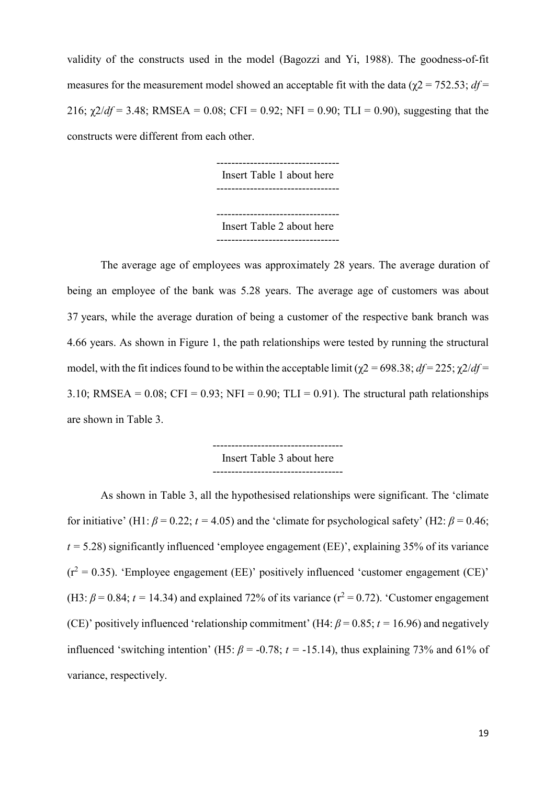validity of the constructs used in the model (Bagozzi and Yi, 1988). The goodness-of-fit measures for the measurement model showed an acceptable fit with the data ( $\gamma$ 2 = 752.53; *df* = 216;  $\chi$ 2/*df* = 3.48; RMSEA = 0.08; CFI = 0.92; NFI = 0.90; TLI = 0.90), suggesting that the constructs were different from each other.

> --------------------------------- Insert Table 1 about here --------------------------------- Insert Table 2 about here ---------------------------------

The average age of employees was approximately 28 years. The average duration of being an employee of the bank was 5.28 years. The average age of customers was about 37 years, while the average duration of being a customer of the respective bank branch was 4.66 years. As shown in Figure 1, the path relationships were tested by running the structural model, with the fit indices found to be within the acceptable limit ( $\chi$ 2 = 698.38; *df* = 225;  $\chi$ 2/*df* = 3.10; RMSEA =  $0.08$ ; CFI =  $0.93$ ; NFI =  $0.90$ ; TLI =  $0.91$ ). The structural path relationships are shown in Table 3.

> ----------------------------------- Insert Table 3 about here

As shown in Table 3, all the hypothesised relationships were significant. The 'climate for initiative' (H1:  $\beta$  = 0.22;  $t$  = 4.05) and the 'climate for psychological safety' (H2:  $\beta$  = 0.46;  $t = 5.28$ ) significantly influenced 'employee engagement (EE)', explaining 35% of its variance  $(r^2 = 0.35)$ . 'Employee engagement (EE)' positively influenced 'customer engagement (CE)' (H3:  $\beta$  = 0.84;  $t$  = 14.34) and explained 72% of its variance ( $r^2$  = 0.72). 'Customer engagement (CE)' positively influenced 'relationship commitment' (H4:  $\beta$  = 0.85;  $t$  = 16.96) and negatively influenced 'switching intention' (H5:  $\beta$  = -0.78;  $t$  = -15.14), thus explaining 73% and 61% of variance, respectively.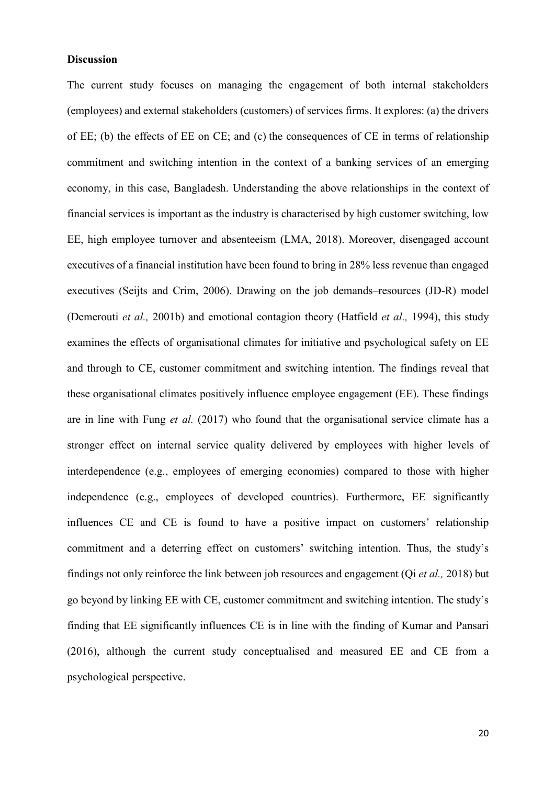#### **Discussion**

The current study focuses on managing the engagement of both internal stakeholders (employees) and external stakeholders (customers) of services firms. It explores: (a) the drivers of EE; (b) the effects of EE on CE; and (c) the consequences of CE in terms of relationship commitment and switching intention in the context of a banking services of an emerging economy, in this case, Bangladesh. Understanding the above relationships in the context of financial services is important as the industry is characterised by high customer switching, low EE, high employee turnover and absenteeism (LMA, 2018). Moreover, disengaged account executives of a financial institution have been found to bring in 28% less revenue than engaged executives (Seijts and Crim, 2006). Drawing on the job demands–resources (JD-R) model (Demerouti *et al.,* 2001b) and emotional contagion theory (Hatfield *et al.,* 1994), this study examines the effects of organisational climates for initiative and psychological safety on EE and through to CE, customer commitment and switching intention. The findings reveal that these organisational climates positively influence employee engagement (EE). These findings are in line with Fung *et al.* (2017) who found that the organisational service climate has a stronger effect on internal service quality delivered by employees with higher levels of interdependence (e.g., employees of emerging economies) compared to those with higher independence (e.g., employees of developed countries). Furthermore, EE significantly influences CE and CE is found to have a positive impact on customers' relationship commitment and a deterring effect on customers' switching intention. Thus, the study's findings not only reinforce the link between job resources and engagement (Qi *et al.,* 2018) but go beyond by linking EE with CE, customer commitment and switching intention. The study's finding that EE significantly influences CE is in line with the finding of Kumar and Pansari (2016), although the current study conceptualised and measured EE and CE from a psychological perspective.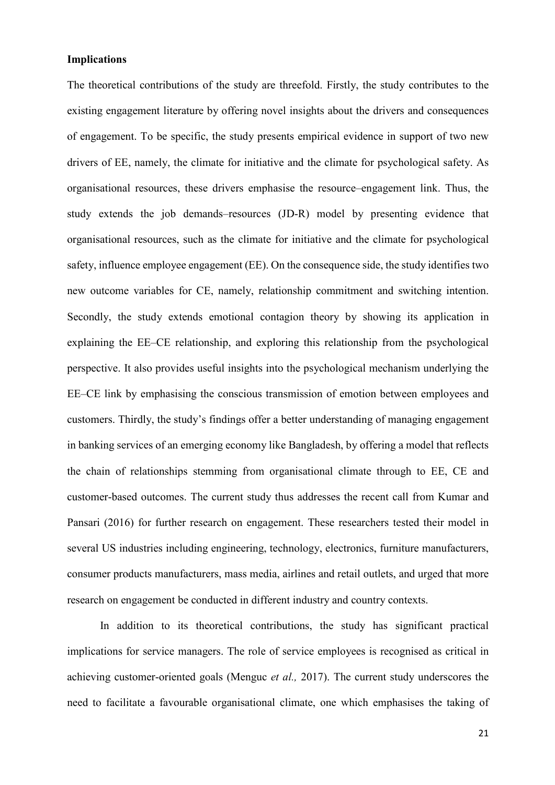#### **Implications**

The theoretical contributions of the study are threefold. Firstly, the study contributes to the existing engagement literature by offering novel insights about the drivers and consequences of engagement. To be specific, the study presents empirical evidence in support of two new drivers of EE, namely, the climate for initiative and the climate for psychological safety. As organisational resources, these drivers emphasise the resource–engagement link. Thus, the study extends the job demands–resources (JD-R) model by presenting evidence that organisational resources, such as the climate for initiative and the climate for psychological safety, influence employee engagement (EE). On the consequence side, the study identifies two new outcome variables for CE, namely, relationship commitment and switching intention. Secondly, the study extends emotional contagion theory by showing its application in explaining the EE–CE relationship, and exploring this relationship from the psychological perspective. It also provides useful insights into the psychological mechanism underlying the EE–CE link by emphasising the conscious transmission of emotion between employees and customers. Thirdly, the study's findings offer a better understanding of managing engagement in banking services of an emerging economy like Bangladesh, by offering a model that reflects the chain of relationships stemming from organisational climate through to EE, CE and customer-based outcomes. The current study thus addresses the recent call from Kumar and Pansari (2016) for further research on engagement. These researchers tested their model in several US industries including engineering, technology, electronics, furniture manufacturers, consumer products manufacturers, mass media, airlines and retail outlets, and urged that more research on engagement be conducted in different industry and country contexts.

In addition to its theoretical contributions, the study has significant practical implications for service managers. The role of service employees is recognised as critical in achieving customer-oriented goals (Menguc *et al.,* 2017). The current study underscores the need to facilitate a favourable organisational climate, one which emphasises the taking of

21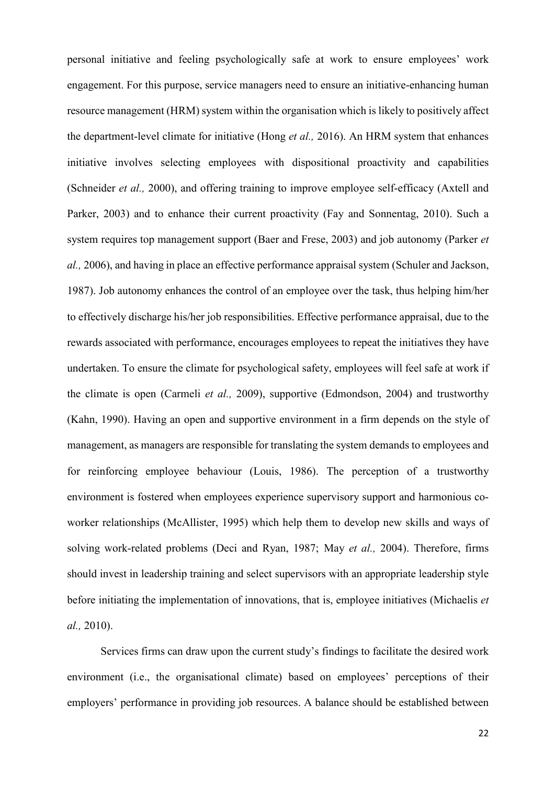personal initiative and feeling psychologically safe at work to ensure employees' work engagement. For this purpose, service managers need to ensure an initiative-enhancing human resource management (HRM) system within the organisation which is likely to positively affect the department-level climate for initiative (Hong *et al.,* 2016). An HRM system that enhances initiative involves selecting employees with dispositional proactivity and capabilities (Schneider *et al.,* 2000), and offering training to improve employee self-efficacy (Axtell and Parker, 2003) and to enhance their current proactivity (Fay and Sonnentag, 2010). Such a system requires top management support (Baer and Frese, 2003) and job autonomy (Parker *et al.,* 2006), and having in place an effective performance appraisal system (Schuler and Jackson, 1987). Job autonomy enhances the control of an employee over the task, thus helping him/her to effectively discharge his/her job responsibilities. Effective performance appraisal, due to the rewards associated with performance, encourages employees to repeat the initiatives they have undertaken. To ensure the climate for psychological safety, employees will feel safe at work if the climate is open (Carmeli *et al.,* 2009), supportive (Edmondson, 2004) and trustworthy (Kahn, 1990). Having an open and supportive environment in a firm depends on the style of management, as managers are responsible for translating the system demands to employees and for reinforcing employee behaviour (Louis, 1986). The perception of a trustworthy environment is fostered when employees experience supervisory support and harmonious coworker relationships (McAllister, 1995) which help them to develop new skills and ways of solving work-related problems (Deci and Ryan, 1987; May *et al.,* 2004). Therefore, firms should invest in leadership training and select supervisors with an appropriate leadership style before initiating the implementation of innovations, that is, employee initiatives (Michaelis *et al.,* 2010).

Services firms can draw upon the current study's findings to facilitate the desired work environment (i.e., the organisational climate) based on employees' perceptions of their employers' performance in providing job resources. A balance should be established between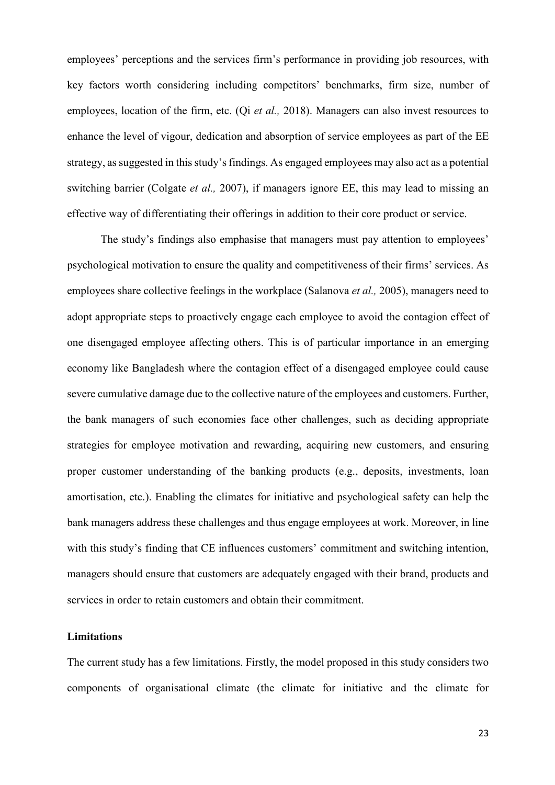employees' perceptions and the services firm's performance in providing job resources, with key factors worth considering including competitors' benchmarks, firm size, number of employees, location of the firm, etc. (Qi *et al.,* 2018). Managers can also invest resources to enhance the level of vigour, dedication and absorption of service employees as part of the EE strategy, assuggested in this study's findings. As engaged employees may also act as a potential switching barrier (Colgate *et al.,* 2007), if managers ignore EE, this may lead to missing an effective way of differentiating their offerings in addition to their core product or service.

The study's findings also emphasise that managers must pay attention to employees' psychological motivation to ensure the quality and competitiveness of their firms' services. As employees share collective feelings in the workplace (Salanova *et al.,* 2005), managers need to adopt appropriate steps to proactively engage each employee to avoid the contagion effect of one disengaged employee affecting others. This is of particular importance in an emerging economy like Bangladesh where the contagion effect of a disengaged employee could cause severe cumulative damage due to the collective nature of the employees and customers. Further, the bank managers of such economies face other challenges, such as deciding appropriate strategies for employee motivation and rewarding, acquiring new customers, and ensuring proper customer understanding of the banking products (e.g., deposits, investments, loan amortisation, etc.). Enabling the climates for initiative and psychological safety can help the bank managers address these challenges and thus engage employees at work. Moreover, in line with this study's finding that CE influences customers' commitment and switching intention, managers should ensure that customers are adequately engaged with their brand, products and services in order to retain customers and obtain their commitment.

#### **Limitations**

The current study has a few limitations. Firstly, the model proposed in this study considers two components of organisational climate (the climate for initiative and the climate for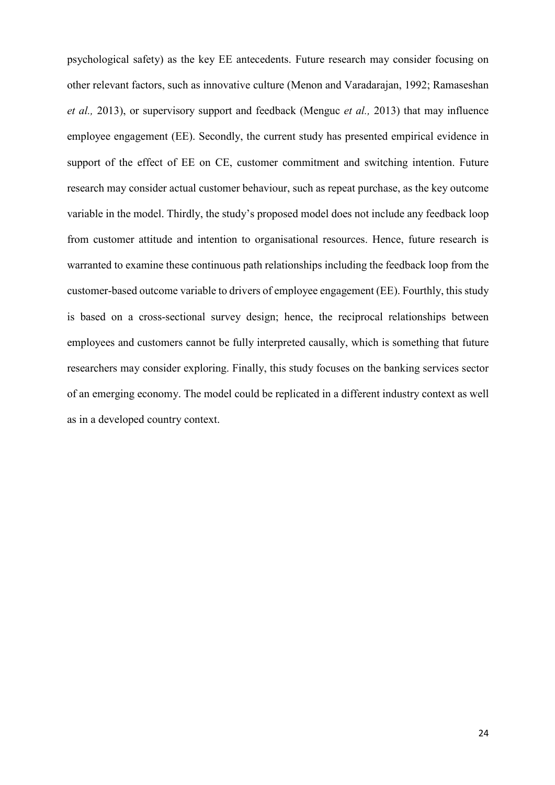psychological safety) as the key EE antecedents. Future research may consider focusing on other relevant factors, such as innovative culture (Menon and Varadarajan, 1992; Ramaseshan *et al.,* 2013), or supervisory support and feedback (Menguc *et al.,* 2013) that may influence employee engagement (EE). Secondly, the current study has presented empirical evidence in support of the effect of EE on CE, customer commitment and switching intention. Future research may consider actual customer behaviour, such as repeat purchase, as the key outcome variable in the model. Thirdly, the study's proposed model does not include any feedback loop from customer attitude and intention to organisational resources. Hence, future research is warranted to examine these continuous path relationships including the feedback loop from the customer-based outcome variable to drivers of employee engagement (EE). Fourthly, this study is based on a cross-sectional survey design; hence, the reciprocal relationships between employees and customers cannot be fully interpreted causally, which is something that future researchers may consider exploring. Finally, this study focuses on the banking services sector of an emerging economy. The model could be replicated in a different industry context as well as in a developed country context.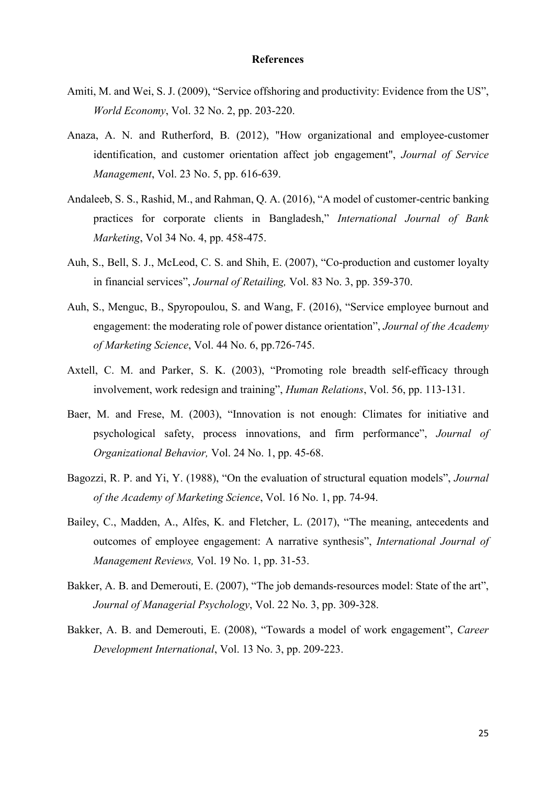#### **References**

- Amiti, M. and Wei, S. J. (2009), "Service offshoring and productivity: Evidence from the US", *World Economy*, Vol. 32 No. 2, pp. 203-220.
- Anaza, A. N. and Rutherford, B. (2012), "How organizational and employee-customer identification, and customer orientation affect job engagement", *Journal of Service Management*, Vol. 23 No. 5, pp. 616-639.
- Andaleeb, S. S., Rashid, M., and Rahman, Q. A. (2016), "A model of customer-centric banking practices for corporate clients in Bangladesh," *International Journal of Bank Marketing*, Vol 34 No. 4, pp. 458-475.
- Auh, S., Bell, S. J., McLeod, C. S. and Shih, E. (2007), "Co-production and customer loyalty in financial services", *Journal of Retailing,* Vol. 83 No. 3, pp. 359-370.
- Auh, S., Menguc, B., Spyropoulou, S. and Wang, F. (2016), "Service employee burnout and engagement: the moderating role of power distance orientation", *Journal of the Academy of Marketing Science*, Vol. 44 No. 6, pp.726-745.
- Axtell, C. M. and Parker, S. K. (2003), "Promoting role breadth self-efficacy through involvement, work redesign and training", *Human Relations*, Vol. 56, pp. 113-131.
- Baer, M. and Frese, M. (2003), "Innovation is not enough: Climates for initiative and psychological safety, process innovations, and firm performance", *Journal of Organizational Behavior,* Vol. 24 No. 1, pp. 45-68.
- Bagozzi, R. P. and Yi, Y. (1988), "On the evaluation of structural equation models", *Journal of the Academy of Marketing Science*, Vol. 16 No. 1, pp. 74-94.
- Bailey, C., Madden, A., Alfes, K. and Fletcher, L. (2017), "The meaning, antecedents and outcomes of employee engagement: A narrative synthesis", *International Journal of Management Reviews,* Vol. 19 No. 1, pp. 31-53.
- Bakker, A. B. and Demerouti, E. (2007), "The job demands-resources model: State of the art", *Journal of Managerial Psychology*, Vol. 22 No. 3, pp. 309-328.
- Bakker, A. B. and Demerouti, E. (2008), "Towards a model of work engagement", *Career Development International*, Vol. 13 No. 3, pp. 209-223.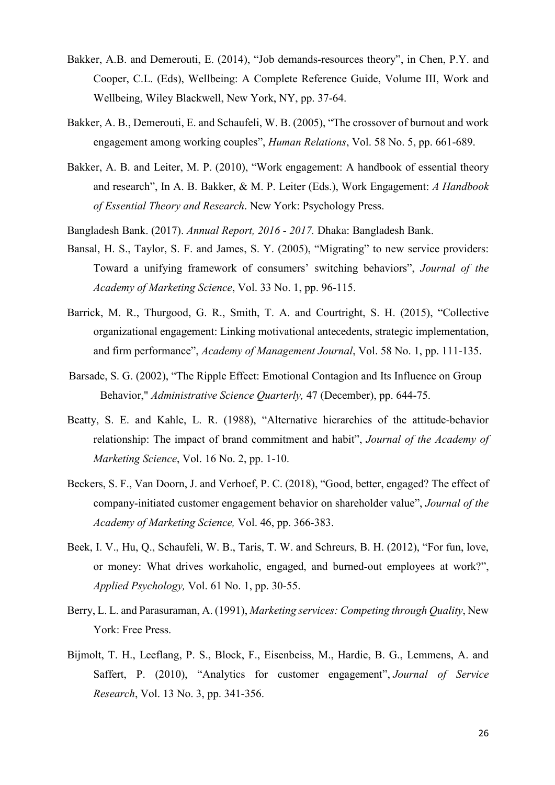- Bakker, A.B. and Demerouti, E. (2014), "Job demands‐resources theory", in Chen, P.Y. and Cooper, C.L. (Eds), Wellbeing: A Complete Reference Guide, Volume III, Work and Wellbeing, Wiley Blackwell, New York, NY, pp. 37‐64.
- Bakker, A. B., Demerouti, E. and Schaufeli, W. B. (2005), "The crossover of burnout and work engagement among working couples", *Human Relations*, Vol. 58 No. 5, pp. 661-689.
- Bakker, A. B. and Leiter, M. P. (2010), "Work engagement: A handbook of essential theory and research", In A. B. Bakker, & M. P. Leiter (Eds.), Work Engagement: *A Handbook of Essential Theory and Research*. New York: Psychology Press.

Bangladesh Bank. (2017). *Annual Report, 2016 - 2017.* Dhaka: Bangladesh Bank.

- Bansal, H. S., Taylor, S. F. and James, S. Y. (2005), "Migrating" to new service providers: Toward a unifying framework of consumers' switching behaviors", *Journal of the Academy of Marketing Science*, Vol. 33 No. 1, pp. 96-115.
- Barrick, M. R., Thurgood, G. R., Smith, T. A. and Courtright, S. H. (2015), "Collective organizational engagement: Linking motivational antecedents, strategic implementation, and firm performance", *Academy of Management Journal*, Vol. 58 No. 1, pp. 111-135.
- Barsade, S. G. (2002), "The Ripple Effect: Emotional Contagion and Its Influence on Group Behavior," *Administrative Science Quarterly,* 47 (December), pp. 644-75.
- Beatty, S. E. and Kahle, L. R. (1988), "Alternative hierarchies of the attitude-behavior relationship: The impact of brand commitment and habit", *Journal of the Academy of Marketing Science*, Vol. 16 No. 2, pp. 1-10.
- Beckers, S. F., Van Doorn, J. and Verhoef, P. C. (2018), "Good, better, engaged? The effect of company-initiated customer engagement behavior on shareholder value", *Journal of the Academy of Marketing Science,* Vol. 46, pp. 366-383.
- Beek, I. V., Hu, Q., Schaufeli, W. B., Taris, T. W. and Schreurs, B. H. (2012), "For fun, love, or money: What drives workaholic, engaged, and burned-out employees at work?", *Applied Psychology,* Vol. 61 No. 1, pp. 30-55.
- Berry, L. L. and Parasuraman, A. (1991), *Marketing services: Competing through Quality*, New York: Free Press.
- Bijmolt, T. H., Leeflang, P. S., Block, F., Eisenbeiss, M., Hardie, B. G., Lemmens, A. and Saffert, P. (2010), "Analytics for customer engagement", *Journal of Service Research*, Vol. 13 No. 3, pp. 341-356.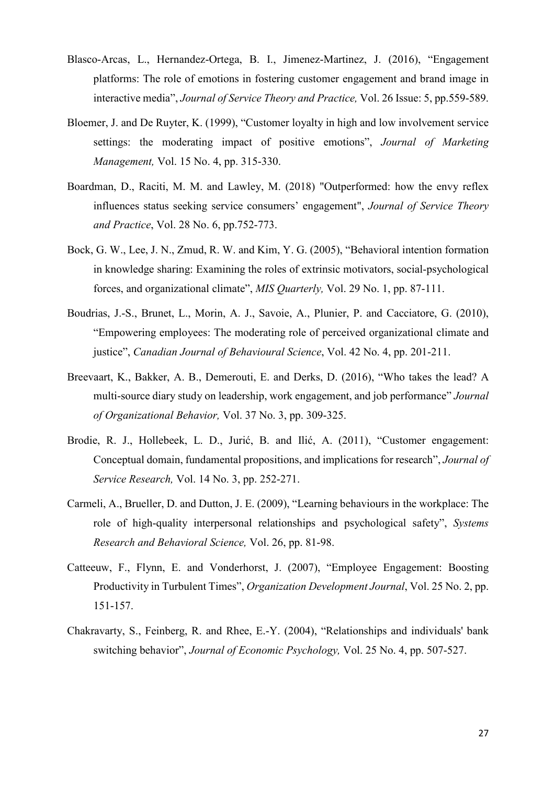- Blasco-Arcas, L., Hernandez-Ortega, B. I., Jimenez-Martinez, J. (2016), "Engagement platforms: The role of emotions in fostering customer engagement and brand image in interactive media", *Journal of Service Theory and Practice,* Vol. 26 Issue: 5, pp.559-589.
- Bloemer, J. and De Ruyter, K. (1999), "Customer loyalty in high and low involvement service settings: the moderating impact of positive emotions", *Journal of Marketing Management,* Vol. 15 No. 4, pp. 315-330.
- Boardman, D., Raciti, M. M. and Lawley, M. (2018) "Outperformed: how the envy reflex influences status seeking service consumers' engagement", *Journal of Service Theory and Practice*, Vol. 28 No. 6, pp.752-773.
- Bock, G. W., Lee, J. N., Zmud, R. W. and Kim, Y. G. (2005), "Behavioral intention formation in knowledge sharing: Examining the roles of extrinsic motivators, social-psychological forces, and organizational climate", *MIS Quarterly,* Vol. 29 No. 1, pp. 87-111.
- Boudrias, J.-S., Brunet, L., Morin, A. J., Savoie, A., Plunier, P. and Cacciatore, G. (2010), "Empowering employees: The moderating role of perceived organizational climate and justice", *Canadian Journal of Behavioural Science*, Vol. 42 No. 4, pp. 201-211.
- Breevaart, K., Bakker, A. B., Demerouti, E. and Derks, D. (2016), "Who takes the lead? A multi-source diary study on leadership, work engagement, and job performance" *Journal of Organizational Behavior,* Vol. 37 No. 3, pp. 309-325.
- Brodie, R. J., Hollebeek, L. D., Jurić, B. and Ilić, A. (2011), "Customer engagement: Conceptual domain, fundamental propositions, and implications for research", *Journal of Service Research,* Vol. 14 No. 3, pp. 252-271.
- Carmeli, A., Brueller, D. and Dutton, J. E. (2009), "Learning behaviours in the workplace: The role of high-quality interpersonal relationships and psychological safety", *Systems Research and Behavioral Science,* Vol. 26, pp. 81-98.
- Catteeuw, F., Flynn, E. and Vonderhorst, J. (2007), "Employee Engagement: Boosting Productivity in Turbulent Times", *Organization Development Journal*, Vol. 25 No. 2, pp. 151-157.
- Chakravarty, S., Feinberg, R. and Rhee, E.-Y. (2004), "Relationships and individuals' bank switching behavior", *Journal of Economic Psychology,* Vol. 25 No. 4, pp. 507-527.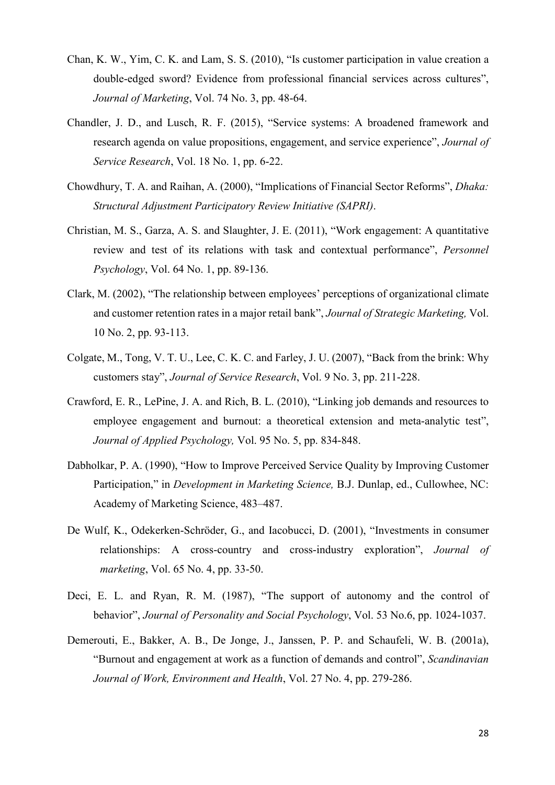- Chan, K. W., Yim, C. K. and Lam, S. S. (2010), "Is customer participation in value creation a double-edged sword? Evidence from professional financial services across cultures", *Journal of Marketing*, Vol. 74 No. 3, pp. 48-64.
- Chandler, J. D., and Lusch, R. F. (2015), "Service systems: A broadened framework and research agenda on value propositions, engagement, and service experience", *Journal of Service Research*, Vol. 18 No. 1, pp. 6-22.
- Chowdhury, T. A. and Raihan, A. (2000), "Implications of Financial Sector Reforms", *Dhaka: Structural Adjustment Participatory Review Initiative (SAPRI)*.
- Christian, M. S., Garza, A. S. and Slaughter, J. E. (2011), "Work engagement: A quantitative review and test of its relations with task and contextual performance", *Personnel Psychology*, Vol. 64 No. 1, pp. 89-136.
- Clark, M. (2002), "The relationship between employees' perceptions of organizational climate and customer retention rates in a major retail bank", *Journal of Strategic Marketing,* Vol. 10 No. 2, pp. 93-113.
- Colgate, M., Tong, V. T. U., Lee, C. K. C. and Farley, J. U. (2007), "Back from the brink: Why customers stay", *Journal of Service Research*, Vol. 9 No. 3, pp. 211-228.
- Crawford, E. R., LePine, J. A. and Rich, B. L. (2010), "Linking job demands and resources to employee engagement and burnout: a theoretical extension and meta-analytic test", *Journal of Applied Psychology,* Vol. 95 No. 5, pp. 834-848.
- Dabholkar, P. A. (1990), "How to Improve Perceived Service Quality by Improving Customer Participation," in *Development in Marketing Science,* B.J. Dunlap, ed., Cullowhee, NC: Academy of Marketing Science, 483–487.
- De Wulf, K., Odekerken-Schröder, G., and Iacobucci, D. (2001), "Investments in consumer relationships: A cross-country and cross-industry exploration", *Journal of marketing*, Vol. 65 No. 4, pp. 33-50.
- Deci, E. L. and Ryan, R. M. (1987), "The support of autonomy and the control of behavior", *Journal of Personality and Social Psychology*, Vol. 53 No.6, pp. 1024-1037.
- Demerouti, E., Bakker, A. B., De Jonge, J., Janssen, P. P. and Schaufeli, W. B. (2001a), "Burnout and engagement at work as a function of demands and control", *Scandinavian Journal of Work, Environment and Health*, Vol. 27 No. 4, pp. 279-286.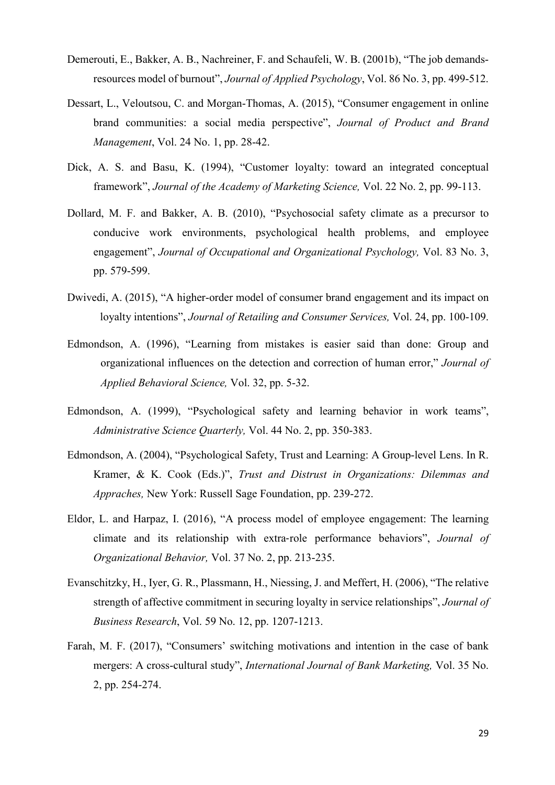- Demerouti, E., Bakker, A. B., Nachreiner, F. and Schaufeli, W. B. (2001b), "The job demandsresources model of burnout", *Journal of Applied Psychology*, Vol. 86 No. 3, pp. 499-512.
- Dessart, L., Veloutsou, C. and Morgan-Thomas, A. (2015), "Consumer engagement in online brand communities: a social media perspective", *Journal of Product and Brand Management*, Vol. 24 No. 1, pp. 28-42.
- Dick, A. S. and Basu, K. (1994), "Customer loyalty: toward an integrated conceptual framework", *Journal of the Academy of Marketing Science,* Vol. 22 No. 2, pp. 99-113.
- Dollard, M. F. and Bakker, A. B. (2010), "Psychosocial safety climate as a precursor to conducive work environments, psychological health problems, and employee engagement", *Journal of Occupational and Organizational Psychology,* Vol. 83 No. 3, pp. 579-599.
- Dwivedi, A. (2015), "A higher-order model of consumer brand engagement and its impact on loyalty intentions", *Journal of Retailing and Consumer Services,* Vol. 24, pp. 100-109.
- Edmondson, A. (1996), "Learning from mistakes is easier said than done: Group and organizational influences on the detection and correction of human error," *Journal of Applied Behavioral Science,* Vol. 32, pp. 5-32.
- Edmondson, A. (1999), "Psychological safety and learning behavior in work teams", *Administrative Science Quarterly,* Vol. 44 No. 2, pp. 350-383.
- Edmondson, A. (2004), "Psychological Safety, Trust and Learning: A Group-level Lens. In R. Kramer, & K. Cook (Eds.)", *Trust and Distrust in Organizations: Dilemmas and Appraches,* New York: Russell Sage Foundation, pp. 239-272.
- Eldor, L. and Harpaz, I. (2016), "A process model of employee engagement: The learning climate and its relationship with extra‐role performance behaviors", *Journal of Organizational Behavior,* Vol. 37 No. 2, pp. 213-235.
- Evanschitzky, H., Iyer, G. R., Plassmann, H., Niessing, J. and Meffert, H. (2006), "The relative strength of affective commitment in securing loyalty in service relationships", *Journal of Business Research*, Vol. 59 No. 12, pp. 1207-1213.
- Farah, M. F. (2017), "Consumers' switching motivations and intention in the case of bank mergers: A cross-cultural study", *International Journal of Bank Marketing,* Vol. 35 No. 2, pp. 254-274.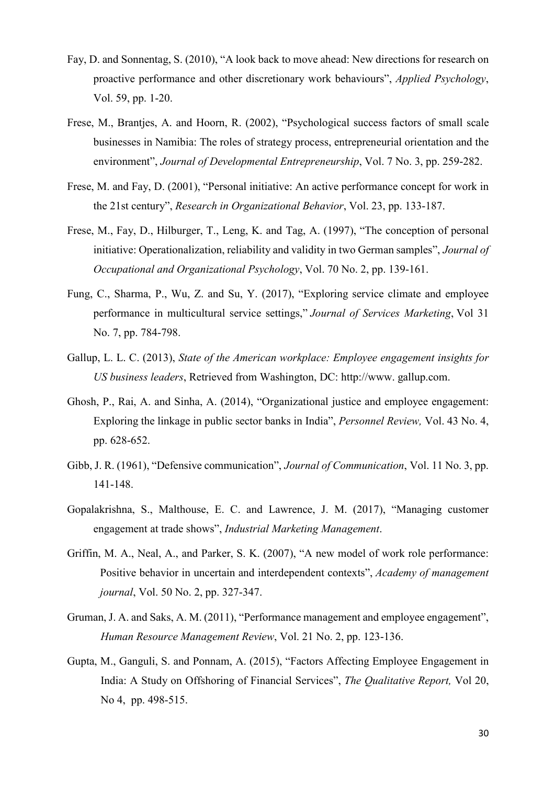- Fay, D. and Sonnentag, S. (2010), "A look back to move ahead: New directions for research on proactive performance and other discretionary work behaviours", *Applied Psychology*, Vol. 59, pp. 1-20.
- Frese, M., Brantjes, A. and Hoorn, R. (2002), "Psychological success factors of small scale businesses in Namibia: The roles of strategy process, entrepreneurial orientation and the environment", *Journal of Developmental Entrepreneurship*, Vol. 7 No. 3, pp. 259-282.
- Frese, M. and Fay, D. (2001), "Personal initiative: An active performance concept for work in the 21st century", *Research in Organizational Behavior*, Vol. 23, pp. 133-187.
- Frese, M., Fay, D., Hilburger, T., Leng, K. and Tag, A. (1997), "The conception of personal initiative: Operationalization, reliability and validity in two German samples", *Journal of Occupational and Organizational Psychology*, Vol. 70 No. 2, pp. 139-161.
- Fung, C., Sharma, P., Wu, Z. and Su, Y. (2017), "Exploring service climate and employee performance in multicultural service settings," *Journal of Services Marketing*, Vol 31 No. 7, pp. 784-798.
- Gallup, L. L. C. (2013), *State of the American workplace: Employee engagement insights for US business leaders*, Retrieved from Washington, DC: http://www. gallup.com.
- Ghosh, P., Rai, A. and Sinha, A. (2014), "Organizational justice and employee engagement: Exploring the linkage in public sector banks in India", *Personnel Review,* Vol. 43 No. 4, pp. 628-652.
- Gibb, J. R. (1961), "Defensive communication", *Journal of Communication*, Vol. 11 No. 3, pp. 141-148.
- Gopalakrishna, S., Malthouse, E. C. and Lawrence, J. M. (2017), "Managing customer engagement at trade shows", *Industrial Marketing Management*.
- Griffin, M. A., Neal, A., and Parker, S. K. (2007), "A new model of work role performance: Positive behavior in uncertain and interdependent contexts", *Academy of management journal*, Vol. 50 No. 2, pp. 327-347.
- Gruman, J. A. and Saks, A. M. (2011), "Performance management and employee engagement", *Human Resource Management Review*, Vol. 21 No. 2, pp. 123-136.
- Gupta, M., Ganguli, S. and Ponnam, A. (2015), "Factors Affecting Employee Engagement in India: A Study on Offshoring of Financial Services", *The Qualitative Report,* Vol 20, No 4, pp. 498-515.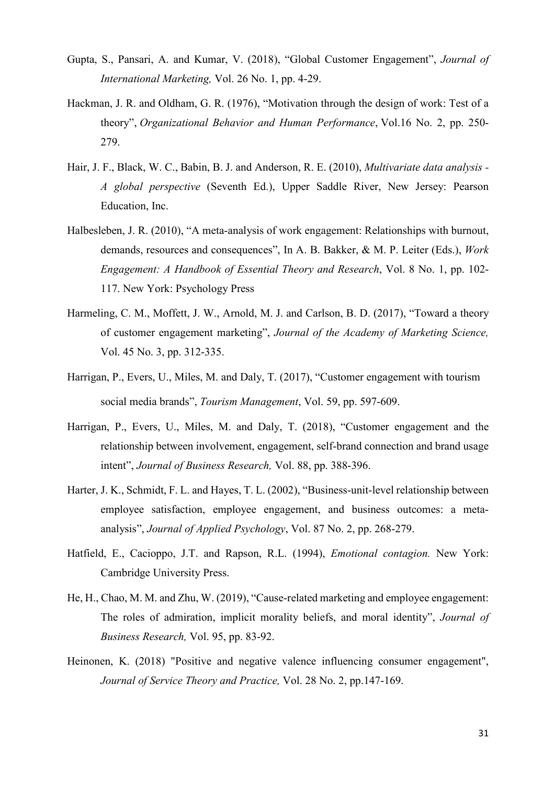- Gupta, S., Pansari, A. and Kumar, V. (2018), "Global Customer Engagement", *Journal of International Marketing,* Vol. 26 No. 1, pp. 4-29.
- Hackman, J. R. and Oldham, G. R. (1976), "Motivation through the design of work: Test of a theory", *Organizational Behavior and Human Performance*, Vol.16 No. 2, pp. 250- 279.
- Hair, J. F., Black, W. C., Babin, B. J. and Anderson, R. E. (2010), *Multivariate data analysis - A global perspective* (Seventh Ed.), Upper Saddle River, New Jersey: Pearson Education, Inc.
- Halbesleben, J. R. (2010), "A meta-analysis of work engagement: Relationships with burnout, demands, resources and consequences", In A. B. Bakker, & M. P. Leiter (Eds.), *Work Engagement: A Handbook of Essential Theory and Research*, Vol. 8 No. 1, pp. 102- 117. New York: Psychology Press
- Harmeling, C. M., Moffett, J. W., Arnold, M. J. and Carlson, B. D. (2017), "Toward a theory of customer engagement marketing", *Journal of the Academy of Marketing Science,* Vol. 45 No. 3, pp. 312-335.
- Harrigan, P., Evers, U., Miles, M. and Daly, T. (2017), "Customer engagement with tourism social media brands", *Tourism Management*, Vol. 59, pp. 597-609.
- Harrigan, P., Evers, U., Miles, M. and Daly, T. (2018), "Customer engagement and the relationship between involvement, engagement, self-brand connection and brand usage intent", *Journal of Business Research,* Vol. 88, pp. 388-396.
- Harter, J. K., Schmidt, F. L. and Hayes, T. L. (2002), "Business-unit-level relationship between employee satisfaction, employee engagement, and business outcomes: a metaanalysis", *Journal of Applied Psychology*, Vol. 87 No. 2, pp. 268-279.
- Hatfield, E., Cacioppo, J.T. and Rapson, R.L. (1994), *Emotional contagion.* New York: Cambridge University Press.
- He, H., Chao, M. M. and Zhu, W. (2019), "Cause-related marketing and employee engagement: The roles of admiration, implicit morality beliefs, and moral identity", *Journal of Business Research,* Vol. 95, pp. 83-92.
- Heinonen, K. (2018) "Positive and negative valence influencing consumer engagement", *Journal of Service Theory and Practice,* Vol. 28 No. 2, pp.147-169.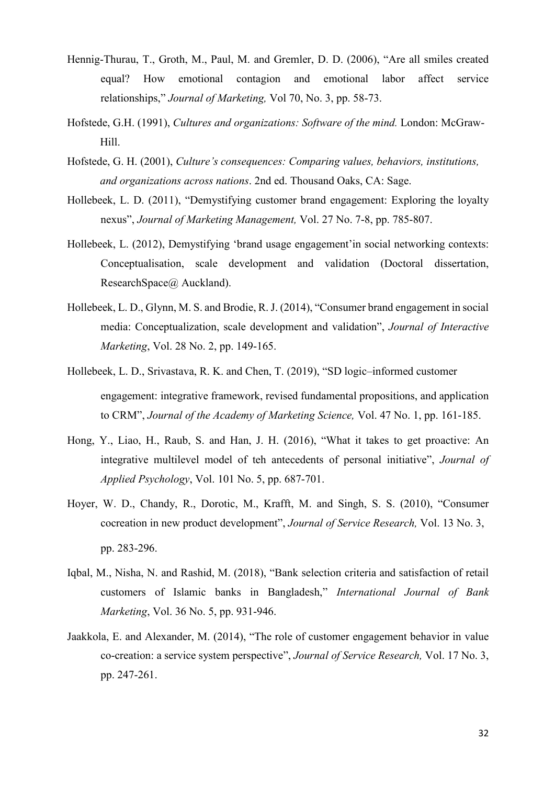- Hennig-Thurau, T., Groth, M., Paul, M. and Gremler, D. D. (2006), "Are all smiles created equal? How emotional contagion and emotional labor affect service relationships," *Journal of Marketing,* Vol 70, No. 3, pp. 58-73.
- Hofstede, G.H. (1991), *Cultures and organizations: Software of the mind.* London: McGraw-Hill.
- Hofstede, G. H. (2001), *Culture's consequences: Comparing values, behaviors, institutions, and organizations across nations*. 2nd ed. Thousand Oaks, CA: Sage.
- Hollebeek, L. D. (2011), "Demystifying customer brand engagement: Exploring the loyalty nexus", *Journal of Marketing Management,* Vol. 27 No. 7-8, pp. 785-807.
- Hollebeek, L. (2012), Demystifying 'brand usage engagement'in social networking contexts: Conceptualisation, scale development and validation (Doctoral dissertation, ResearchSpace@ Auckland).
- Hollebeek, L. D., Glynn, M. S. and Brodie, R. J. (2014), "Consumer brand engagement in social media: Conceptualization, scale development and validation", *Journal of Interactive Marketing*, Vol. 28 No. 2, pp. 149-165.
- Hollebeek, L. D., Srivastava, R. K. and Chen, T. (2019), "SD logic–informed customer engagement: integrative framework, revised fundamental propositions, and application to CRM", *Journal of the Academy of Marketing Science,* Vol. 47 No. 1, pp. 161-185.
- Hong, Y., Liao, H., Raub, S. and Han, J. H. (2016), "What it takes to get proactive: An integrative multilevel model of teh antecedents of personal initiative", *Journal of Applied Psychology*, Vol. 101 No. 5, pp. 687-701.
- Hoyer, W. D., Chandy, R., Dorotic, M., Krafft, M. and Singh, S. S. (2010), "Consumer cocreation in new product development", *Journal of Service Research,* Vol. 13 No. 3, pp. 283-296.
- Iqbal, M., Nisha, N. and Rashid, M. (2018), "Bank selection criteria and satisfaction of retail customers of Islamic banks in Bangladesh," *International Journal of Bank Marketing*, Vol. 36 No. 5, pp. 931-946.
- Jaakkola, E. and Alexander, M. (2014), "The role of customer engagement behavior in value co-creation: a service system perspective", *Journal of Service Research,* Vol. 17 No. 3, pp. 247-261.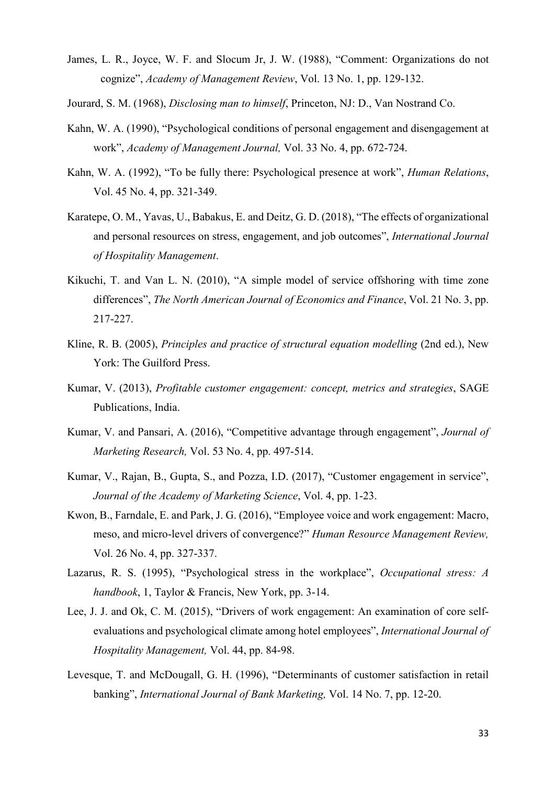- James, L. R., Joyce, W. F. and Slocum Jr, J. W. (1988), "Comment: Organizations do not cognize", *Academy of Management Review*, Vol. 13 No. 1, pp. 129-132.
- Jourard, S. M. (1968), *Disclosing man to himself*, Princeton, NJ: D., Van Nostrand Co.
- Kahn, W. A. (1990), "Psychological conditions of personal engagement and disengagement at work", *Academy of Management Journal,* Vol. 33 No. 4, pp. 672-724.
- Kahn, W. A. (1992), "To be fully there: Psychological presence at work", *Human Relations*, Vol. 45 No. 4, pp. 321-349.
- Karatepe, O. M., Yavas, U., Babakus, E. and Deitz, G. D. (2018), "The effects of organizational and personal resources on stress, engagement, and job outcomes", *International Journal of Hospitality Management*.
- Kikuchi, T. and Van L. N. (2010), "A simple model of service offshoring with time zone differences", *The North American Journal of Economics and Finance*, Vol. 21 No. 3, pp. 217-227.
- Kline, R. B. (2005), *Principles and practice of structural equation modelling* (2nd ed.), New York: The Guilford Press.
- Kumar, V. (2013), *Profitable customer engagement: concept, metrics and strategies*, SAGE Publications, India.
- Kumar, V. and Pansari, A. (2016), "Competitive advantage through engagement", *Journal of Marketing Research,* Vol. 53 No. 4, pp. 497-514.
- Kumar, V., Rajan, B., Gupta, S., and Pozza, I.D. (2017), "Customer engagement in service", *Journal of the Academy of Marketing Science*, Vol. 4, pp. 1-23.
- Kwon, B., Farndale, E. and Park, J. G. (2016), "Employee voice and work engagement: Macro, meso, and micro-level drivers of convergence?" *Human Resource Management Review,* Vol. 26 No. 4, pp. 327-337.
- Lazarus, R. S. (1995), "Psychological stress in the workplace", *Occupational stress: A handbook*, 1, Taylor & Francis, New York, pp. 3-14.
- Lee, J. J. and Ok, C. M. (2015), "Drivers of work engagement: An examination of core selfevaluations and psychological climate among hotel employees", *International Journal of Hospitality Management,* Vol. 44, pp. 84-98.
- Levesque, T. and McDougall, G. H. (1996), "Determinants of customer satisfaction in retail banking", *International Journal of Bank Marketing,* Vol. 14 No. 7, pp. 12-20.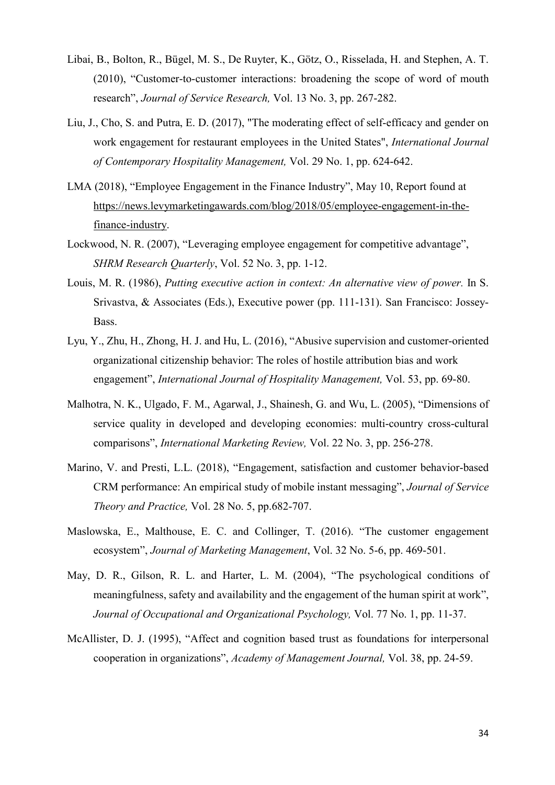- Libai, B., Bolton, R., Bügel, M. S., De Ruyter, K., Götz, O., Risselada, H. and Stephen, A. T. (2010), "Customer-to-customer interactions: broadening the scope of word of mouth research", *Journal of Service Research,* Vol. 13 No. 3, pp. 267-282.
- Liu, J., Cho, S. and Putra, E. D. (2017), "The moderating effect of self-efficacy and gender on work engagement for restaurant employees in the United States", *International Journal of Contemporary Hospitality Management,* Vol. 29 No. 1, pp. 624-642.
- LMA (2018), "Employee Engagement in the Finance Industry", May 10, Report found at [https://news.levymarketingawards.com/blog/2018/05/employee-engagement-in-the](https://news.levymarketingawards.com/blog/2018/05/employee-engagement-in-the-finance-industry)[finance-industry.](https://news.levymarketingawards.com/blog/2018/05/employee-engagement-in-the-finance-industry)
- Lockwood, N. R. (2007), "Leveraging employee engagement for competitive advantage", *SHRM Research Quarterly*, Vol. 52 No. 3, pp. 1-12.
- Louis, M. R. (1986), *Putting executive action in context: An alternative view of power.* In S. Srivastva, & Associates (Eds.), Executive power (pp. 111-131). San Francisco: Jossey-Bass.
- Lyu, Y., Zhu, H., Zhong, H. J. and Hu, L. (2016), "Abusive supervision and customer-oriented organizational citizenship behavior: The roles of hostile attribution bias and work engagement", *International Journal of Hospitality Management,* Vol. 53, pp. 69-80.
- Malhotra, N. K., Ulgado, F. M., Agarwal, J., Shainesh, G. and Wu, L. (2005), "Dimensions of service quality in developed and developing economies: multi-country cross-cultural comparisons", *International Marketing Review,* Vol. 22 No. 3, pp. 256-278.
- Marino, V. and Presti, L.L. (2018), "Engagement, satisfaction and customer behavior-based CRM performance: An empirical study of mobile instant messaging", *Journal of Service Theory and Practice,* Vol. 28 No. 5, pp.682-707.
- Maslowska, E., Malthouse, E. C. and Collinger, T. (2016). "The customer engagement ecosystem", *Journal of Marketing Management*, Vol. 32 No. 5-6, pp. 469-501.
- May, D. R., Gilson, R. L. and Harter, L. M. (2004), "The psychological conditions of meaningfulness, safety and availability and the engagement of the human spirit at work", *Journal of Occupational and Organizational Psychology,* Vol. 77 No. 1, pp. 11-37.
- McAllister, D. J. (1995), "Affect and cognition based trust as foundations for interpersonal cooperation in organizations", *Academy of Management Journal,* Vol. 38, pp. 24-59.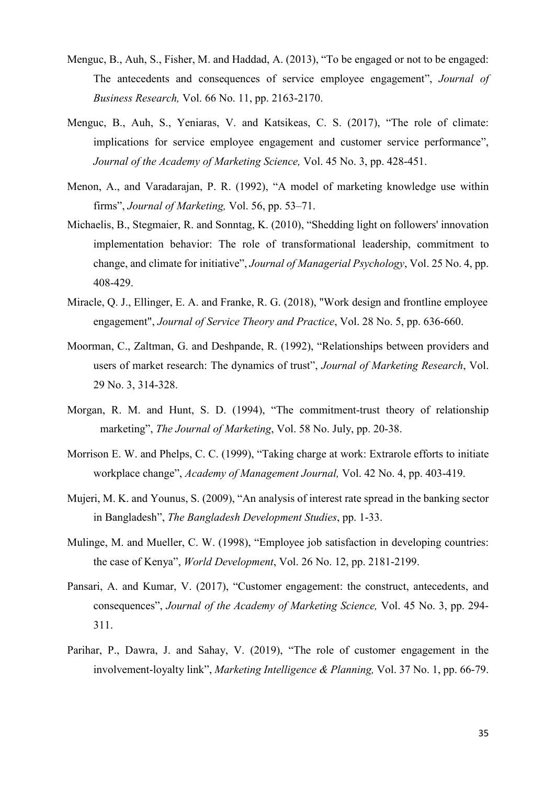- Menguc, B., Auh, S., Fisher, M. and Haddad, A. (2013), "To be engaged or not to be engaged: The antecedents and consequences of service employee engagement", *Journal of Business Research,* Vol. 66 No. 11, pp. 2163-2170.
- Menguc, B., Auh, S., Yeniaras, V. and Katsikeas, C. S. (2017), "The role of climate: implications for service employee engagement and customer service performance", *Journal of the Academy of Marketing Science,* Vol. 45 No. 3, pp. 428-451.
- Menon, A., and Varadarajan, P. R. (1992), "A model of marketing knowledge use within firms", *Journal of Marketing,* Vol. 56, pp. 53–71.
- Michaelis, B., Stegmaier, R. and Sonntag, K. (2010), "Shedding light on followers' innovation implementation behavior: The role of transformational leadership, commitment to change, and climate for initiative", *Journal of Managerial Psychology*, Vol. 25 No. 4, pp. 408-429.
- Miracle, Q. J., Ellinger, E. A. and Franke, R. G. (2018), "Work design and frontline employee engagement", *Journal of Service Theory and Practice*, Vol. 28 No. 5, pp. 636-660.
- Moorman, C., Zaltman, G. and Deshpande, R. (1992), "Relationships between providers and users of market research: The dynamics of trust", *Journal of Marketing Research*, Vol. 29 No. 3, 314-328.
- Morgan, R. M. and Hunt, S. D. (1994), "The commitment-trust theory of relationship marketing", *The Journal of Marketing*, Vol. 58 No. July, pp. 20-38.
- Morrison E. W. and Phelps, C. C. (1999), "Taking charge at work: Extrarole efforts to initiate workplace change", *Academy of Management Journal,* Vol. 42 No. 4, pp. 403-419.
- Mujeri, M. K. and Younus, S. (2009), "An analysis of interest rate spread in the banking sector in Bangladesh", *The Bangladesh Development Studies*, pp. 1-33.
- Mulinge, M. and Mueller, C. W. (1998), "Employee job satisfaction in developing countries: the case of Kenya", *World Development*, Vol. 26 No. 12, pp. 2181-2199.
- Pansari, A. and Kumar, V. (2017), "Customer engagement: the construct, antecedents, and consequences", *Journal of the Academy of Marketing Science,* Vol. 45 No. 3, pp. 294- 311.
- Parihar, P., Dawra, J. and Sahay, V. (2019), "The role of customer engagement in the involvement-loyalty link", *Marketing Intelligence & Planning,* Vol. 37 No. 1, pp. 66-79.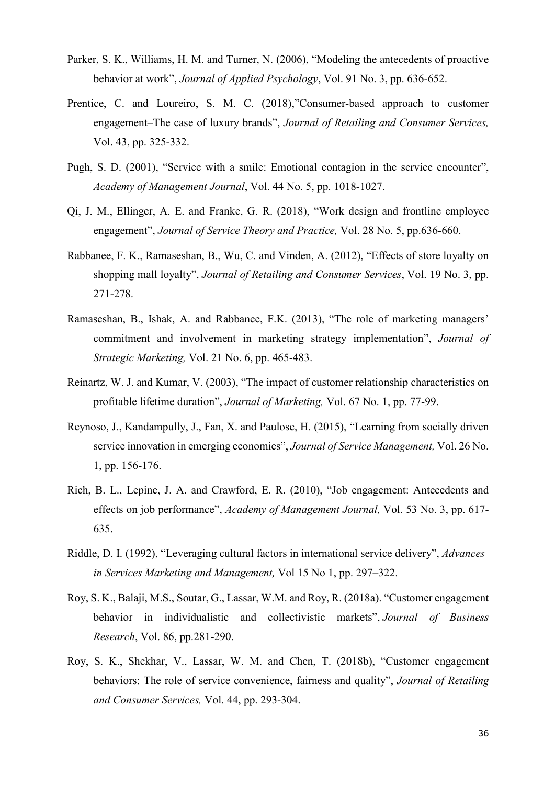- Parker, S. K., Williams, H. M. and Turner, N. (2006), "Modeling the antecedents of proactive behavior at work", *Journal of Applied Psychology*, Vol. 91 No. 3, pp. 636-652.
- Prentice, C. and Loureiro, S. M. C. (2018),"Consumer-based approach to customer engagement–The case of luxury brands", *Journal of Retailing and Consumer Services,* Vol. 43, pp. 325-332.
- Pugh, S. D. (2001), "Service with a smile: Emotional contagion in the service encounter", *Academy of Management Journal*, Vol. 44 No. 5, pp. 1018-1027.
- Qi, J. M., Ellinger, A. E. and Franke, G. R. (2018), "Work design and frontline employee engagement", *Journal of Service Theory and Practice,* Vol. 28 No. 5, pp.636-660.
- Rabbanee, F. K., Ramaseshan, B., Wu, C. and Vinden, A. (2012), "Effects of store loyalty on shopping mall loyalty", *Journal of Retailing and Consumer Services*, Vol. 19 No. 3, pp. 271-278.
- Ramaseshan, B., Ishak, A. and Rabbanee, F.K. (2013), "The role of marketing managers' commitment and involvement in marketing strategy implementation", *Journal of Strategic Marketing,* Vol. 21 No. 6, pp. 465-483.
- Reinartz, W. J. and Kumar, V. (2003), "The impact of customer relationship characteristics on profitable lifetime duration", *Journal of Marketing,* Vol. 67 No. 1, pp. 77-99.
- Reynoso, J., Kandampully, J., Fan, X. and Paulose, H. (2015), "Learning from socially driven service innovation in emerging economies", *Journal of Service Management,* Vol. 26 No. 1, pp. 156-176.
- Rich, B. L., Lepine, J. A. and Crawford, E. R. (2010), "Job engagement: Antecedents and effects on job performance", *Academy of Management Journal,* Vol. 53 No. 3, pp. 617- 635.
- Riddle, D. I. (1992), "Leveraging cultural factors in international service delivery", *Advances in Services Marketing and Management,* Vol 15 No 1, pp. 297–322.
- Roy, S. K., Balaji, M.S., Soutar, G., Lassar, W.M. and Roy, R. (2018a). "Customer engagement behavior in individualistic and collectivistic markets", *Journal of Business Research*, Vol. 86, pp.281-290.
- Roy, S. K., Shekhar, V., Lassar, W. M. and Chen, T. (2018b), "Customer engagement behaviors: The role of service convenience, fairness and quality", *Journal of Retailing and Consumer Services,* Vol. 44, pp. 293-304.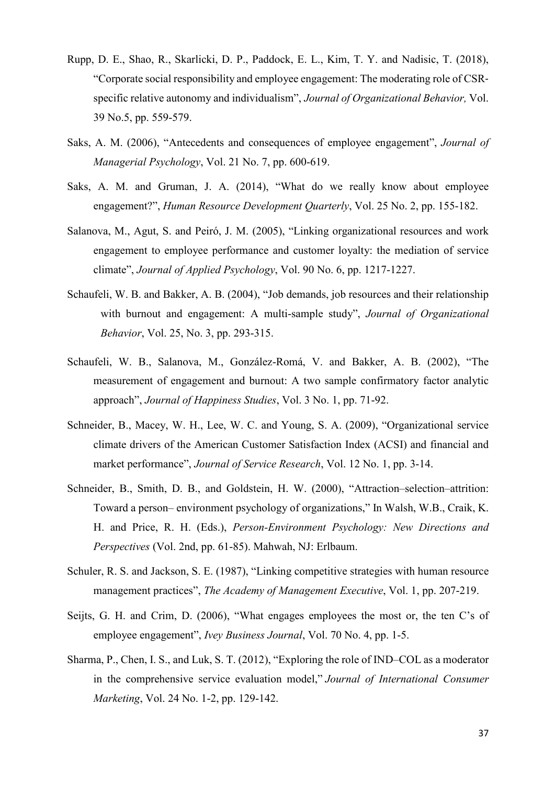- Rupp, D. E., Shao, R., Skarlicki, D. P., Paddock, E. L., Kim, T. Y. and Nadisic, T. (2018), "Corporate social responsibility and employee engagement: The moderating role of CSR‐ specific relative autonomy and individualism", *Journal of Organizational Behavior,* Vol. 39 No.5, pp. 559-579.
- Saks, A. M. (2006), "Antecedents and consequences of employee engagement", *Journal of Managerial Psychology*, Vol. 21 No. 7, pp. 600-619.
- Saks, A. M. and Gruman, J. A. (2014), "What do we really know about employee engagement?", *Human Resource Development Quarterly*, Vol. 25 No. 2, pp. 155-182.
- Salanova, M., Agut, S. and Peiró, J. M. (2005), "Linking organizational resources and work engagement to employee performance and customer loyalty: the mediation of service climate", *Journal of Applied Psychology*, Vol. 90 No. 6, pp. 1217-1227.
- Schaufeli, W. B. and Bakker, A. B. (2004), "Job demands, job resources and their relationship with burnout and engagement: A multi-sample study", *Journal of Organizational Behavior*, Vol. 25, No. 3, pp. 293-315.
- Schaufeli, W. B., Salanova, M., González-Romá, V. and Bakker, A. B. (2002), "The measurement of engagement and burnout: A two sample confirmatory factor analytic approach", *Journal of Happiness Studies*, Vol. 3 No. 1, pp. 71-92.
- Schneider, B., Macey, W. H., Lee, W. C. and Young, S. A. (2009), "Organizational service climate drivers of the American Customer Satisfaction Index (ACSI) and financial and market performance", *Journal of Service Research*, Vol. 12 No. 1, pp. 3-14.
- Schneider, B., Smith, D. B., and Goldstein, H. W. (2000), "Attraction–selection–attrition: Toward a person– environment psychology of organizations," In Walsh, W.B., Craik, K. H. and Price, R. H. (Eds.), *Person-Environment Psychology: New Directions and Perspectives* (Vol. 2nd, pp. 61-85). Mahwah, NJ: Erlbaum.
- Schuler, R. S. and Jackson, S. E. (1987), "Linking competitive strategies with human resource management practices", *The Academy of Management Executive*, Vol. 1, pp. 207-219.
- Seijts, G. H. and Crim, D. (2006), "What engages employees the most or, the ten C's of employee engagement", *Ivey Business Journal*, Vol. 70 No. 4, pp. 1-5.
- Sharma, P., Chen, I. S., and Luk, S. T. (2012), "Exploring the role of IND–COL as a moderator in the comprehensive service evaluation model," *Journal of International Consumer Marketing*, Vol. 24 No. 1-2, pp. 129-142.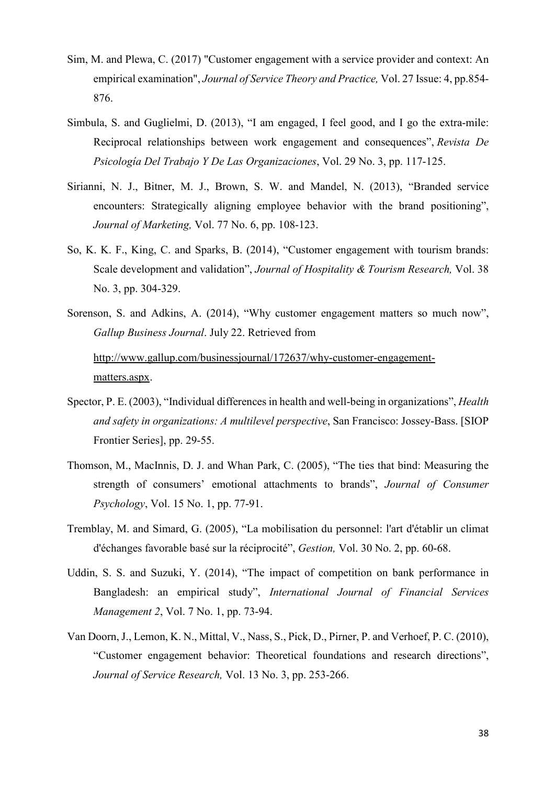- Sim, M. and Plewa, C. (2017) "Customer engagement with a service provider and context: An empirical examination", *Journal of Service Theory and Practice,* Vol. 27 Issue: 4, pp.854- 876.
- Simbula, S. and Guglielmi, D. (2013), "I am engaged, I feel good, and I go the extra-mile: Reciprocal relationships between work engagement and consequences", *Revista De Psicología Del Trabajo Y De Las Organizaciones*, Vol. 29 No. 3, pp. 117-125.
- Sirianni, N. J., Bitner, M. J., Brown, S. W. and Mandel, N. (2013), "Branded service encounters: Strategically aligning employee behavior with the brand positioning", *Journal of Marketing,* Vol. 77 No. 6, pp. 108-123.
- So, K. K. F., King, C. and Sparks, B. (2014), "Customer engagement with tourism brands: Scale development and validation", *Journal of Hospitality & Tourism Research,* Vol. 38 No. 3, pp. 304-329.
- Sorenson, S. and Adkins, A. (2014), "Why customer engagement matters so much now", *Gallup Business Journal*. July 22. Retrieved from [http://www.gallup.com/businessjournal/172637/why-customer-engagement](http://www.gallup.com/businessjournal/172637/why-customer-engagement-matters.aspx)[matters.aspx.](http://www.gallup.com/businessjournal/172637/why-customer-engagement-matters.aspx)
- Spector, P. E. (2003), "Individual differences in health and well-being in organizations", *Health and safety in organizations: A multilevel perspective*, San Francisco: Jossey-Bass. [SIOP Frontier Series], pp. 29-55.
- Thomson, M., MacInnis, D. J. and Whan Park, C. (2005), "The ties that bind: Measuring the strength of consumers' emotional attachments to brands", *Journal of Consumer Psychology*, Vol. 15 No. 1, pp. 77-91.
- Tremblay, M. and Simard, G. (2005), "La mobilisation du personnel: l'art d'établir un climat d'échanges favorable basé sur la réciprocité", *Gestion,* Vol. 30 No. 2, pp. 60-68.
- Uddin, S. S. and Suzuki, Y. (2014), "The impact of competition on bank performance in Bangladesh: an empirical study", *International Journal of Financial Services Management 2*, Vol. 7 No. 1, pp. 73-94.
- Van Doorn, J., Lemon, K. N., Mittal, V., Nass, S., Pick, D., Pirner, P. and Verhoef, P. C. (2010), "Customer engagement behavior: Theoretical foundations and research directions", *Journal of Service Research,* Vol. 13 No. 3, pp. 253-266.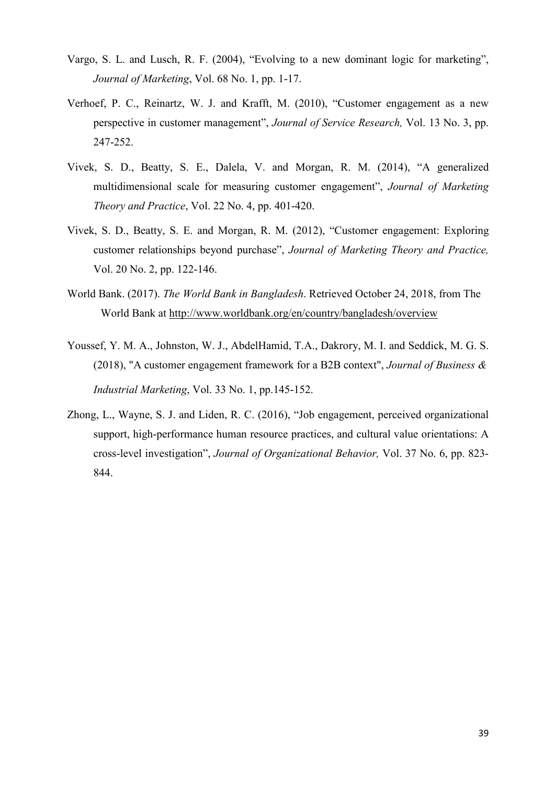- Vargo, S. L. and Lusch, R. F. (2004), "Evolving to a new dominant logic for marketing", *Journal of Marketing*, Vol. 68 No. 1, pp. 1-17.
- Verhoef, P. C., Reinartz, W. J. and Krafft, M. (2010), "Customer engagement as a new perspective in customer management", *Journal of Service Research,* Vol. 13 No. 3, pp. 247-252.
- Vivek, S. D., Beatty, S. E., Dalela, V. and Morgan, R. M. (2014), "A generalized multidimensional scale for measuring customer engagement", *Journal of Marketing Theory and Practice*, Vol. 22 No. 4, pp. 401-420.
- Vivek, S. D., Beatty, S. E. and Morgan, R. M. (2012), "Customer engagement: Exploring customer relationships beyond purchase", *Journal of Marketing Theory and Practice,*  Vol. 20 No. 2, pp. 122-146.
- World Bank. (2017). *The World Bank in Bangladesh*. Retrieved October 24, 2018, from The World Bank at<http://www.worldbank.org/en/country/bangladesh/overview>
- Youssef, Y. M. A., Johnston, W. J., AbdelHamid, T.A., Dakrory, M. I. and Seddick, M. G. S. (2018), "A customer engagement framework for a B2B context", *Journal of Business & Industrial Marketing*, Vol. 33 No. 1, pp.145-152.
- Zhong, L., Wayne, S. J. and Liden, R. C. (2016), "Job engagement, perceived organizational support, high-performance human resource practices, and cultural value orientations: A cross-level investigation", *Journal of Organizational Behavior,* Vol. 37 No. 6, pp. 823- 844.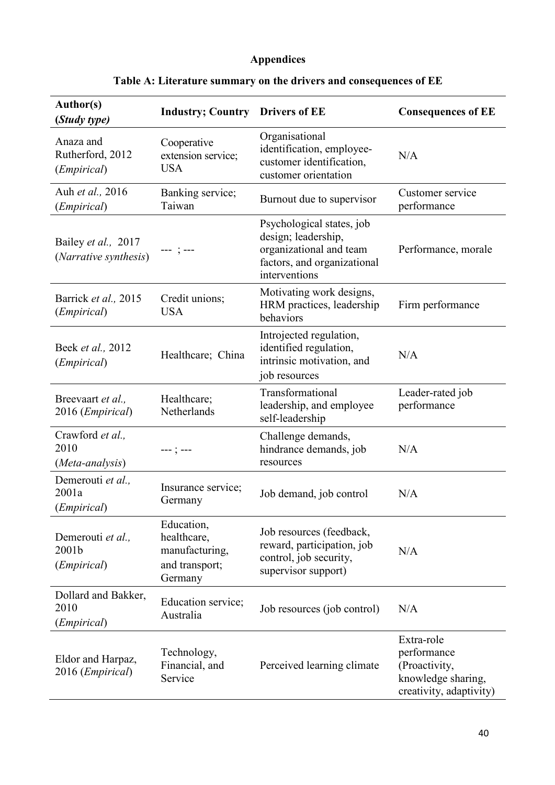# **Appendices**

| Author(s)<br>(Study type)                                                         | <b>Industry; Country Drivers of EE</b>                                   |                                                                                                                             | <b>Consequences of EE</b>                                                                   |  |  |
|-----------------------------------------------------------------------------------|--------------------------------------------------------------------------|-----------------------------------------------------------------------------------------------------------------------------|---------------------------------------------------------------------------------------------|--|--|
| Anaza and<br>Rutherford, 2012<br>( <i>Empirical</i> )                             | Cooperative<br>extension service;<br><b>USA</b>                          | Organisational<br>identification, employee-<br>customer identification,<br>customer orientation                             | N/A                                                                                         |  |  |
| Auh et al., 2016<br>(Empirical)                                                   | Banking service;<br>Taiwan                                               | Burnout due to supervisor                                                                                                   |                                                                                             |  |  |
| Bailey et al., 2017<br>(Narrative synthesis)                                      |                                                                          | Psychological states, job<br>design; leadership,<br>organizational and team<br>factors, and organizational<br>interventions | Performance, morale                                                                         |  |  |
| Barrick et al., 2015<br>( <i>Empirical</i> )                                      | Credit unions;<br><b>USA</b>                                             | Firm performance                                                                                                            |                                                                                             |  |  |
| Beek et al., 2012<br>( <i>Empirical</i> )                                         | Healthcare; China                                                        | Introjected regulation,<br>identified regulation,<br>intrinsic motivation, and<br>job resources                             | N/A                                                                                         |  |  |
| Breevaart et al.,<br>2016 ( <i>Empirical</i> )                                    | Healthcare;<br>Netherlands                                               | Transformational<br>leadership, and employee<br>self-leadership                                                             | Leader-rated job<br>performance                                                             |  |  |
| Crawford et al.,<br>2010<br>(Meta-analysis)                                       | ---;---                                                                  | Challenge demands,<br>hindrance demands, job<br>resources                                                                   | N/A                                                                                         |  |  |
| Demerouti et al.,<br>2001a<br>(Empirical)                                         | Insurance service;<br>Job demand, job control<br>Germany                 |                                                                                                                             | N/A                                                                                         |  |  |
| Demerouti et al.,<br>2001b<br>( <i>Empirical</i> )                                | Education,<br>healthcare,<br>manufacturing,<br>and transport;<br>Germany | Job resources (feedback,<br>reward, participation, job<br>control, job security,<br>supervisor support)                     | N/A                                                                                         |  |  |
| Dollard and Bakker,<br>2010<br>(Empirical)                                        | Education service;<br>Australia                                          | Job resources (job control)                                                                                                 | N/A                                                                                         |  |  |
| Technology,<br>Eldor and Harpaz,<br>Financial, and<br>2016 (Empirical)<br>Service |                                                                          | Perceived learning climate                                                                                                  | Extra-role<br>performance<br>(Proactivity,<br>knowledge sharing,<br>creativity, adaptivity) |  |  |

# **Table A: Literature summary on the drivers and consequences of EE**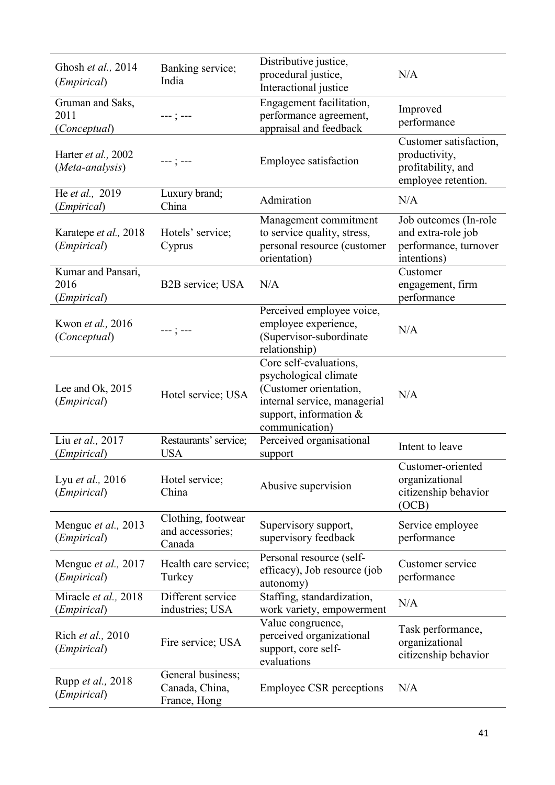| Ghosh et al., 2014<br>( <i>Empirical</i> )         | Banking service;<br>India                                                                                                                                                   | Distributive justice,<br>procedural justice,<br>Interactional justice                               | N/A                                                                                  |  |
|----------------------------------------------------|-----------------------------------------------------------------------------------------------------------------------------------------------------------------------------|-----------------------------------------------------------------------------------------------------|--------------------------------------------------------------------------------------|--|
| Gruman and Saks,<br>2011<br>(Conceptual)           | $---; ---$                                                                                                                                                                  | Engagement facilitation,<br>performance agreement,<br>appraisal and feedback                        | Improved<br>performance                                                              |  |
| Harter et al., 2002<br>(Meta-analysis)             | ---;---                                                                                                                                                                     | Employee satisfaction                                                                               | Customer satisfaction,<br>productivity,<br>profitability, and<br>employee retention. |  |
| He et al., 2019<br>( <i>Empirical</i> )            | Luxury brand;<br>China                                                                                                                                                      | Admiration                                                                                          | N/A                                                                                  |  |
| Karatepe et al., 2018<br>(Empirical)               | Hotels' service;<br>Cyprus                                                                                                                                                  | Management commitment<br>to service quality, stress,<br>personal resource (customer<br>orientation) | Job outcomes (In-role<br>and extra-role job<br>performance, turnover<br>intentions)  |  |
| Kumar and Pansari,<br>2016<br>( <i>Empirical</i> ) | B2B service; USA                                                                                                                                                            | N/A                                                                                                 | Customer<br>engagement, firm<br>performance                                          |  |
| Kwon et al., 2016<br>(Conceptual)                  | Perceived employee voice,<br>employee experience,<br>---;---<br>(Supervisor-subordinate<br>relationship)                                                                    |                                                                                                     | N/A                                                                                  |  |
| Lee and Ok, 2015<br>( <i>Empirical</i> )           | Core self-evaluations,<br>psychological climate<br>(Customer orientation,<br>Hotel service; USA<br>internal service, managerial<br>support, information &<br>communication) |                                                                                                     | N/A                                                                                  |  |
| Liu et al., 2017<br>(Empirical)                    | Restaurants' service;<br><b>USA</b>                                                                                                                                         | Perceived organisational<br>support                                                                 | Intent to leave                                                                      |  |
| Lyu et al., 2016<br>( <i>Empirical</i> )           | Hotel service;<br>China                                                                                                                                                     | Abusive supervision                                                                                 | Customer-oriented<br>organizational<br>citizenship behavior<br>(OCB)                 |  |
| Menguc et al., 2013<br>(Empirical)                 | Clothing, footwear<br>and accessories;<br>Canada                                                                                                                            | Supervisory support,<br>supervisory feedback                                                        | Service employee<br>performance                                                      |  |
| Mengue et al., 2017<br>( <i>Empirical</i> )        | Health care service;<br>Turkey                                                                                                                                              | Personal resource (self-<br>efficacy), Job resource (job<br>autonomy)                               | Customer service<br>performance                                                      |  |
| Miracle et al., 2018<br>(Empirical)                | Different service<br>industries; USA                                                                                                                                        | Staffing, standardization,<br>work variety, empowerment                                             | N/A                                                                                  |  |
| Rich et al., 2010<br>(Empirical)                   | Fire service; USA                                                                                                                                                           | Value congruence,<br>perceived organizational<br>support, core self-<br>evaluations                 | Task performance,<br>organizational<br>citizenship behavior                          |  |
| Rupp <i>et al.</i> , 2018<br>( <i>Empirical</i> )  | General business;<br>Canada, China,<br>France, Hong                                                                                                                         | <b>Employee CSR</b> perceptions                                                                     | N/A                                                                                  |  |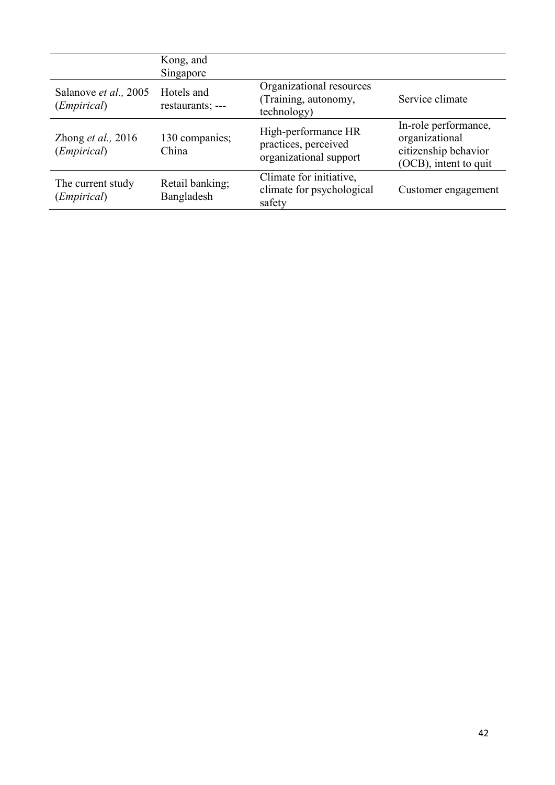|                                               | Kong, and<br>Singapore         |                                                                       |                                                                                         |
|-----------------------------------------------|--------------------------------|-----------------------------------------------------------------------|-----------------------------------------------------------------------------------------|
| Salanove et al., 2005<br>( <i>Empirical</i> ) | Hotels and<br>restaurants; --- | Organizational resources<br>(Training, autonomy,<br>technology)       | Service climate                                                                         |
| Zhong $et$ al., 2016<br>( <i>Empirical</i> )  | 130 companies;<br>China        | High-performance HR<br>practices, perceived<br>organizational support | In-role performance,<br>organizational<br>citizenship behavior<br>(OCB), intent to quit |
| The current study<br>( <i>Empirical</i> )     | Retail banking;<br>Bangladesh  | Climate for initiative,<br>climate for psychological<br>safety        | Customer engagement                                                                     |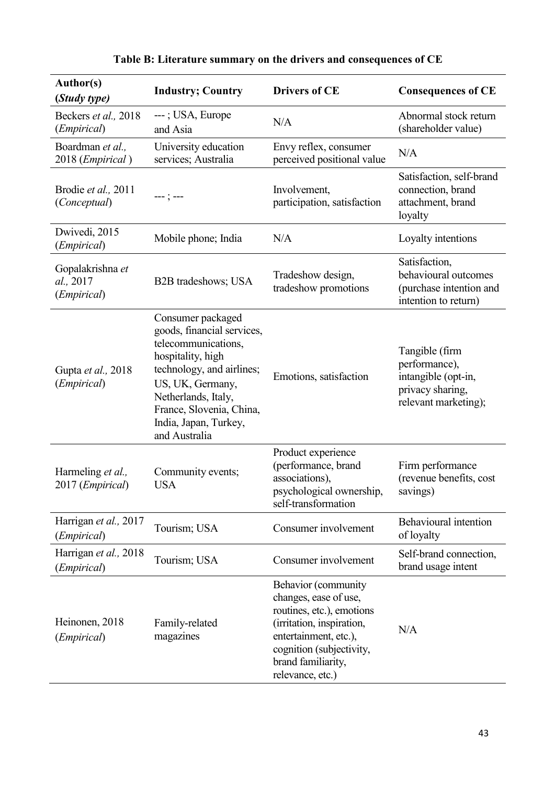| <b>Author(s)</b><br>(Study type)                      | <b>Industry; Country</b>                                                                                                                                                                                                                  | <b>Drivers of CE</b>                                                                                                                                                                                  | <b>Consequences of CE</b>                                                                          |
|-------------------------------------------------------|-------------------------------------------------------------------------------------------------------------------------------------------------------------------------------------------------------------------------------------------|-------------------------------------------------------------------------------------------------------------------------------------------------------------------------------------------------------|----------------------------------------------------------------------------------------------------|
| Beckers et al., 2018<br>( <i>Empirical</i> )          | ---; USA, Europe<br>and Asia                                                                                                                                                                                                              | N/A                                                                                                                                                                                                   | Abnormal stock return<br>(shareholder value)                                                       |
| Boardman et al.,<br>2018 (Empirical)                  | University education<br>services; Australia                                                                                                                                                                                               | Envy reflex, consumer<br>perceived positional value                                                                                                                                                   | N/A                                                                                                |
| Brodie et al., 2011<br>(Conceptual)                   | --- ; ---                                                                                                                                                                                                                                 | Involvement,<br>participation, satisfaction                                                                                                                                                           | Satisfaction, self-brand<br>connection, brand<br>attachment, brand<br>loyalty                      |
| Dwivedi, 2015<br>(Empirical)                          | Mobile phone; India                                                                                                                                                                                                                       | N/A                                                                                                                                                                                                   | Loyalty intentions                                                                                 |
| Gopalakrishna et<br>al., 2017<br>( <i>Empirical</i> ) | Tradeshow design,<br>B2B tradeshows; USA<br>tradeshow promotions                                                                                                                                                                          |                                                                                                                                                                                                       | Satisfaction,<br>behavioural outcomes<br>(purchase intention and<br>intention to return)           |
| Gupta et al., 2018<br>( <i>Empirical</i> )            | Consumer packaged<br>goods, financial services,<br>telecommunications,<br>hospitality, high<br>technology, and airlines;<br>US, UK, Germany,<br>Netherlands, Italy,<br>France, Slovenia, China,<br>India, Japan, Turkey,<br>and Australia | Emotions, satisfaction                                                                                                                                                                                | Tangible (firm<br>performance),<br>intangible (opt-in,<br>privacy sharing,<br>relevant marketing); |
| Harmeling et al.,<br>2017 ( <i>Empirical</i> )        | Community events;<br><b>USA</b>                                                                                                                                                                                                           | Product experience<br>(performance, brand<br>associations),<br>psychological ownership,<br>self-transformation                                                                                        | Firm performance<br>(revenue benefits, cost<br>savings)                                            |
| Harrigan et al., 2017<br>(Empirical)                  | Tourism; USA<br>Consumer involvement                                                                                                                                                                                                      |                                                                                                                                                                                                       | Behavioural intention<br>of loyalty                                                                |
| Harrigan et al., 2018<br>(Empirical)                  | Tourism; USA                                                                                                                                                                                                                              | Consumer involvement                                                                                                                                                                                  | Self-brand connection,<br>brand usage intent                                                       |
| Heinonen, 2018<br>( <i>Empirical</i> )                | Family-related<br>magazines                                                                                                                                                                                                               | Behavior (community<br>changes, ease of use,<br>routines, etc.), emotions<br>(irritation, inspiration,<br>entertainment, etc.),<br>cognition (subjectivity,<br>brand familiarity,<br>relevance, etc.) | N/A                                                                                                |

|  |  |  | Table B: Literature summary on the drivers and consequences of CE |  |
|--|--|--|-------------------------------------------------------------------|--|
|  |  |  |                                                                   |  |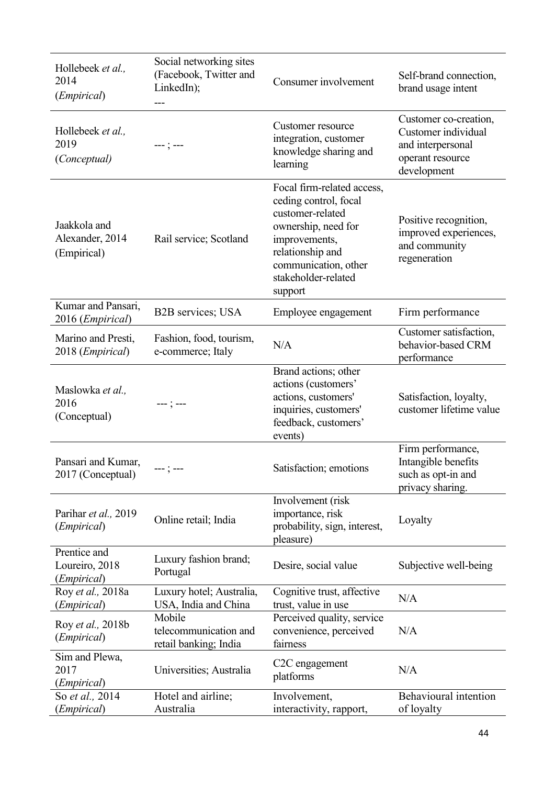| Hollebeek et al.,<br>2014<br>( <i>Empirical</i> ) | Social networking sites<br>(Facebook, Twitter and<br>LinkedIn);<br>--- | Consumer involvement                                                                                                                                                                          | Self-brand connection,<br>brand usage intent                                                         |  |
|---------------------------------------------------|------------------------------------------------------------------------|-----------------------------------------------------------------------------------------------------------------------------------------------------------------------------------------------|------------------------------------------------------------------------------------------------------|--|
| Hollebeek et al.,<br>2019<br>(Conceptual)         | --- ; ---                                                              | Customer resource<br>integration, customer<br>knowledge sharing and<br>learning                                                                                                               | Customer co-creation,<br>Customer individual<br>and interpersonal<br>operant resource<br>development |  |
| Jaakkola and<br>Alexander, 2014<br>(Empirical)    | Rail service; Scotland                                                 | Focal firm-related access,<br>ceding control, focal<br>customer-related<br>ownership, need for<br>improvements,<br>relationship and<br>communication, other<br>stakeholder-related<br>support | Positive recognition,<br>improved experiences,<br>and community<br>regeneration                      |  |
| Kumar and Pansari,<br>2016 (Empirical)            | B2B services; USA                                                      | Employee engagement                                                                                                                                                                           | Firm performance                                                                                     |  |
| Marino and Presti,<br>2018 ( <i>Empirical</i> )   | Fashion, food, tourism,<br>e-commerce; Italy                           | N/A                                                                                                                                                                                           | Customer satisfaction,<br>behavior-based CRM<br>performance                                          |  |
| Maslowka et al.,<br>2016<br>(Conceptual)          | --- ; ---                                                              | Brand actions; other<br>actions (customers'<br>actions, customers'<br>inquiries, customers'<br>feedback, customers'<br>events)                                                                | Satisfaction, loyalty,<br>customer lifetime value                                                    |  |
| Pansari and Kumar,<br>2017 (Conceptual)           | ---;---                                                                | Satisfaction; emotions                                                                                                                                                                        | Firm performance,<br>Intangible benefits<br>such as opt-in and<br>privacy sharing.                   |  |
| Parihar et al., 2019<br>( <i>Empirical</i> )      | Online retail; India                                                   | Involvement (risk<br>importance, risk<br>probability, sign, interest,<br>pleasure)                                                                                                            | Loyalty                                                                                              |  |
| Prentice and<br>Loureiro, 2018<br>(Empirical)     | Luxury fashion brand;<br>Portugal                                      | Desire, social value                                                                                                                                                                          | Subjective well-being                                                                                |  |
| Roy et al., 2018a<br>( <i>Empirical</i> )         | Luxury hotel; Australia,<br>USA, India and China                       | Cognitive trust, affective<br>trust, value in use                                                                                                                                             | N/A                                                                                                  |  |
| Roy et al., 2018b<br>( <i>Empirical</i> )         | Mobile<br>telecommunication and<br>retail banking; India               | Perceived quality, service<br>convenience, perceived<br>fairness                                                                                                                              | N/A                                                                                                  |  |
| Sim and Plewa,<br>2017<br>(Empirical)             | Universities; Australia                                                | C <sub>2</sub> C engagement<br>platforms                                                                                                                                                      | N/A                                                                                                  |  |
| So et al., 2014<br>(Empirical)                    | Hotel and airline;<br>Australia                                        | Involvement,<br>interactivity, rapport,                                                                                                                                                       | Behavioural intention<br>of loyalty                                                                  |  |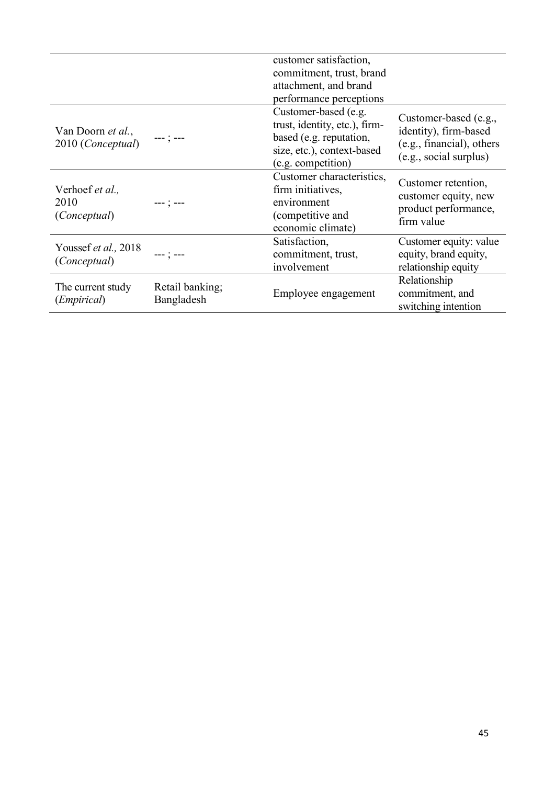|                                                |                               | customer satisfaction,                                                                                                               |                                                                                                       |
|------------------------------------------------|-------------------------------|--------------------------------------------------------------------------------------------------------------------------------------|-------------------------------------------------------------------------------------------------------|
|                                                |                               | commitment, trust, brand                                                                                                             |                                                                                                       |
|                                                |                               | attachment, and brand                                                                                                                |                                                                                                       |
|                                                |                               | performance perceptions                                                                                                              |                                                                                                       |
| Van Doorn <i>et al.</i> ,<br>2010 (Conceptual) |                               | Customer-based (e.g.<br>trust, identity, etc.), firm-<br>based (e.g. reputation,<br>size, etc.), context-based<br>(e.g. competition) | Customer-based (e.g.,<br>identity), firm-based<br>(e.g., financial), others<br>(e.g., social surplus) |
| Verhoef et al.,<br>2010<br>(Conceptual)        | --- : ---                     | Customer characteristics,<br>firm initiatives,<br>environment<br>(competitive and<br>economic climate)                               | Customer retention,<br>customer equity, new<br>product performance,<br>firm value                     |
| Youssef et al., 2018<br>(Conceptual)           | $--- 1 ---$                   | Satisfaction,<br>commitment, trust,<br>involvement                                                                                   | Customer equity: value<br>equity, brand equity,<br>relationship equity                                |
| The current study<br>( <i>Empirical</i> )      | Retail banking;<br>Bangladesh | Employee engagement                                                                                                                  | Relationship<br>commitment, and<br>switching intention                                                |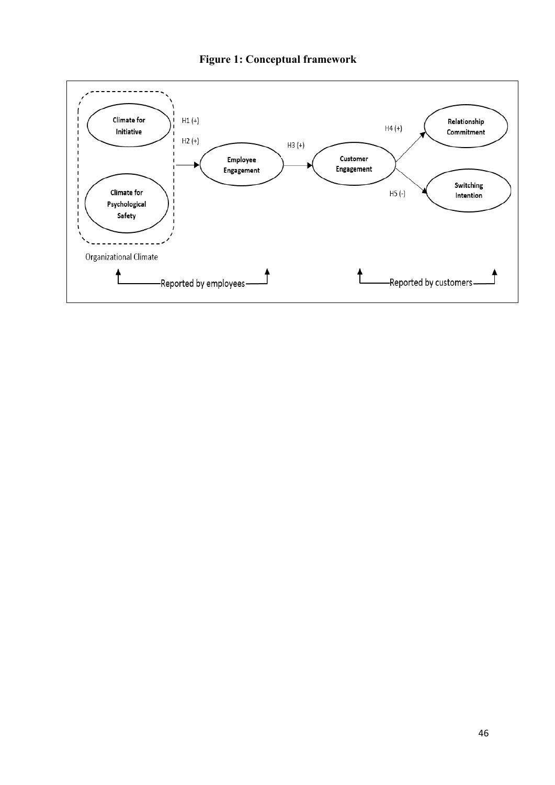

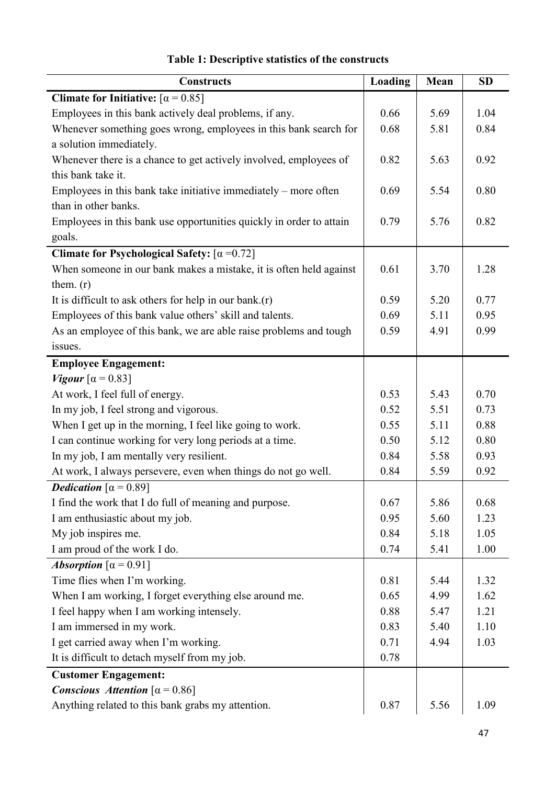| <b>Constructs</b>                                                   | Loading | Mean | <b>SD</b> |
|---------------------------------------------------------------------|---------|------|-----------|
| Climate for Initiative: $\lbrack \alpha = 0.85 \rbrack$             |         |      |           |
| Employees in this bank actively deal problems, if any.              | 0.66    | 5.69 | 1.04      |
| Whenever something goes wrong, employees in this bank search for    | 0.68    | 5.81 | 0.84      |
| a solution immediately.                                             |         |      |           |
| Whenever there is a chance to get actively involved, employees of   | 0.82    | 5.63 | 0.92      |
| this bank take it.                                                  |         |      |           |
| Employees in this bank take initiative immediately – more often     | 0.69    | 5.54 | 0.80      |
| than in other banks.                                                |         |      |           |
| Employees in this bank use opportunities quickly in order to attain | 0.79    | 5.76 | 0.82      |
| goals.                                                              |         |      |           |
| Climate for Psychological Safety: $[\alpha = 0.72]$                 |         |      |           |
| When someone in our bank makes a mistake, it is often held against  | 0.61    | 3.70 | 1.28      |
| them. $(r)$                                                         |         |      |           |
| It is difficult to ask others for help in our bank. $(r)$           | 0.59    | 5.20 | 0.77      |
| Employees of this bank value others' skill and talents.             | 0.69    | 5.11 | 0.95      |
| As an employee of this bank, we are able raise problems and tough   | 0.59    | 4.91 | 0.99      |
| issues.                                                             |         |      |           |
| <b>Employee Engagement:</b>                                         |         |      |           |
| <i>Vigour</i> $\alpha$ = 0.83]                                      |         |      |           |
| At work, I feel full of energy.                                     | 0.53    | 5.43 | 0.70      |
| In my job, I feel strong and vigorous.                              | 0.52    | 5.51 | 0.73      |
| When I get up in the morning, I feel like going to work.            | 0.55    | 5.11 | 0.88      |
| I can continue working for very long periods at a time.             | 0.50    | 5.12 | 0.80      |
| In my job, I am mentally very resilient.                            | 0.84    | 5.58 | 0.93      |
| At work, I always persevere, even when things do not go well.       | 0.84    | 5.59 | 0.92      |
| <b>Dedication</b> $\alpha = 0.89$                                   |         |      |           |
| I find the work that I do full of meaning and purpose.              | 0.67    | 5.86 | 0.68      |
| I am enthusiastic about my job.                                     | 0.95    | 5.60 | 1.23      |
| My job inspires me.                                                 | 0.84    | 5.18 | 1.05      |
| I am proud of the work I do.                                        | 0.74    | 5.41 | 1.00      |
| Absorption $\lceil \alpha = 0.91 \rceil$                            |         |      |           |
| Time flies when I'm working.                                        | 0.81    | 5.44 | 1.32      |
| When I am working, I forget everything else around me.              | 0.65    | 4.99 | 1.62      |
| I feel happy when I am working intensely.                           | 0.88    | 5.47 | 1.21      |
| I am immersed in my work.                                           | 0.83    | 5.40 | 1.10      |
| I get carried away when I'm working.                                | 0.71    | 4.94 | 1.03      |
| It is difficult to detach myself from my job.                       | 0.78    |      |           |
| <b>Customer Engagement:</b>                                         |         |      |           |
| Conscious Attention $\lceil \alpha = 0.86 \rceil$                   |         |      |           |
| Anything related to this bank grabs my attention.                   | 0.87    | 5.56 | 1.09      |

# **Table 1: Descriptive statistics of the constructs**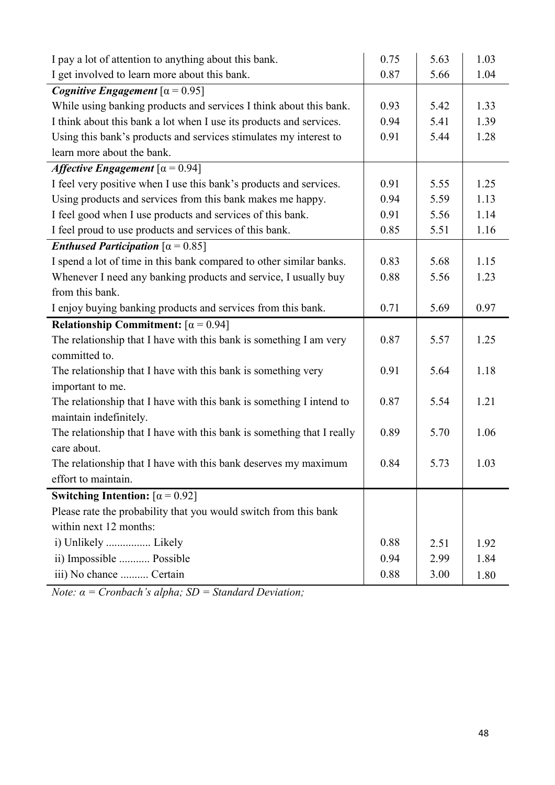| I pay a lot of attention to anything about this bank.                  | 0.75 | 5.63 | 1.03 |
|------------------------------------------------------------------------|------|------|------|
| I get involved to learn more about this bank.                          | 0.87 | 5.66 | 1.04 |
| <i>Cognitive Engagement</i> $\alpha = 0.95$                            |      |      |      |
| While using banking products and services I think about this bank.     | 0.93 | 5.42 | 1.33 |
| I think about this bank a lot when I use its products and services.    | 0.94 | 5.41 | 1.39 |
| Using this bank's products and services stimulates my interest to      | 0.91 | 5.44 | 1.28 |
| learn more about the bank.                                             |      |      |      |
| <i>Affective Engagement</i> $\left[\alpha = \overline{0.94}\right]$    |      |      |      |
| I feel very positive when I use this bank's products and services.     | 0.91 | 5.55 | 1.25 |
| Using products and services from this bank makes me happy.             | 0.94 | 5.59 | 1.13 |
| I feel good when I use products and services of this bank.             | 0.91 | 5.56 | 1.14 |
| I feel proud to use products and services of this bank.                | 0.85 | 5.51 | 1.16 |
| <i>Enthused Participation</i> $\lceil \alpha = 0.85 \rceil$            |      |      |      |
| I spend a lot of time in this bank compared to other similar banks.    | 0.83 | 5.68 | 1.15 |
| Whenever I need any banking products and service, I usually buy        | 0.88 | 5.56 | 1.23 |
| from this bank.                                                        |      |      |      |
| I enjoy buying banking products and services from this bank.           | 0.71 | 5.69 | 0.97 |
| Relationship Commitment: $\lceil \alpha = 0.94 \rceil$                 |      |      |      |
| The relationship that I have with this bank is something I am very     | 0.87 | 5.57 | 1.25 |
| committed to.                                                          |      |      |      |
| The relationship that I have with this bank is something very          | 0.91 | 5.64 | 1.18 |
| important to me.                                                       |      |      |      |
| The relationship that I have with this bank is something I intend to   | 0.87 | 5.54 | 1.21 |
| maintain indefinitely.                                                 |      |      |      |
| The relationship that I have with this bank is something that I really | 0.89 | 5.70 | 1.06 |
| care about.                                                            |      |      |      |
| The relationship that I have with this bank deserves my maximum        | 0.84 | 5.73 | 1.03 |
| effort to maintain.                                                    |      |      |      |
| Switching Intention: $\lceil \alpha = 0.92 \rceil$                     |      |      |      |
| Please rate the probability that you would switch from this bank       |      |      |      |
| within next 12 months:                                                 |      |      |      |
| i) Unlikely  Likely                                                    | 0.88 | 2.51 | 1.92 |
| ii) Impossible  Possible                                               | 0.94 | 2.99 | 1.84 |
| iii) No chance  Certain                                                | 0.88 | 3.00 | 1.80 |

*Note: α = Cronbach's alpha; SD = Standard Deviation;*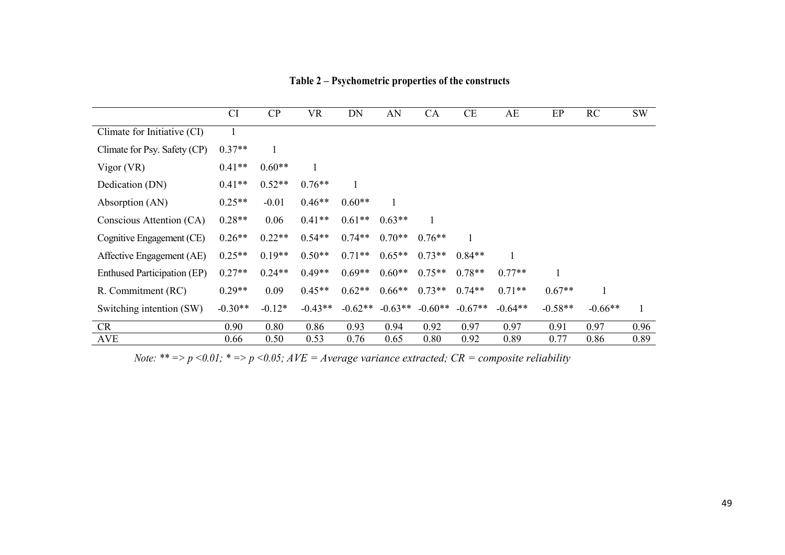|                                    | CI           | CP       | <b>VR</b> | DN        | AN        | CA        | CE        | AE        | EP        | RC        | <b>SW</b> |
|------------------------------------|--------------|----------|-----------|-----------|-----------|-----------|-----------|-----------|-----------|-----------|-----------|
| Climate for Initiative (CI)        | $\mathbf{1}$ |          |           |           |           |           |           |           |           |           |           |
| Climate for Psy. Safety (CP)       | $0.37**$     |          |           |           |           |           |           |           |           |           |           |
| Vigor (VR)                         | $0.41**$     | $0.60**$ | 1         |           |           |           |           |           |           |           |           |
| Dedication (DN)                    | $0.41**$     | $0.52**$ | $0.76**$  |           |           |           |           |           |           |           |           |
| Absorption (AN)                    | $0.25**$     | $-0.01$  | $0.46**$  | $0.60**$  |           |           |           |           |           |           |           |
| Conscious Attention (CA)           | $0.28**$     | 0.06     | $0.41**$  | $0.61**$  | $0.63**$  |           |           |           |           |           |           |
| Cognitive Engagement (CE)          | $0.26**$     | $0.22**$ | $0.54**$  | $0.74**$  | $0.70**$  | $0.76**$  |           |           |           |           |           |
| Affective Engagement (AE)          | $0.25**$     | $0.19**$ | $0.50**$  | $0.71**$  | $0.65**$  | $0.73**$  | $0.84**$  |           |           |           |           |
| <b>Enthused Participation (EP)</b> | $0.27**$     | $0.24**$ | $0.49**$  | $0.69**$  | $0.60**$  | $0.75**$  | $0.78**$  | $0.77**$  | 1         |           |           |
| R. Commitment (RC)                 | $0.29**$     | 0.09     | $0.45**$  | $0.62**$  | $0.66**$  | $0.73**$  | $0.74**$  | $0.71**$  | $0.67**$  |           |           |
| Switching intention (SW)           | $-0.30**$    | $-0.12*$ | $-0.43**$ | $-0.62**$ | $-0.63**$ | $-0.60**$ | $-0.67**$ | $-0.64**$ | $-0.58**$ | $-0.66**$ | 1         |
| CR                                 | 0.90         | 0.80     | 0.86      | 0.93      | 0.94      | 0.92      | 0.97      | 0.97      | 0.91      | 0.97      | 0.96      |
| AVE                                | 0.66         | 0.50     | 0.53      | 0.76      | 0.65      | 0.80      | 0.92      | 0.89      | 0.77      | 0.86      | 0.89      |

**Table 2 – Psychometric properties of the constructs** 

*Note: \*\* => p <0.01; \* => p <0.05; AVE = Average variance extracted; CR = composite reliability*